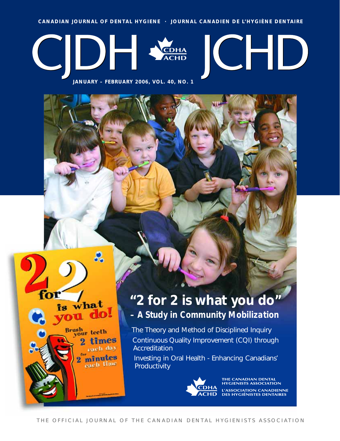**CANADIAN JOURNAL OF DENTAL HYGIENE · JOURNAL CANADIEN DE L'HYGIÈNE DENTAIRE**



**JANUARY – FEBRUARY 2006, VOL. 40, NO. 1**

оľ

is what

Brush<br>your teeth

rlo!

times each day minutes each time

### **"2 for 2 is what you do"** *– A Study in Community Mobilization*

The Theory and Method of Disciplined Inquiry Continuous Quality Improvement (CQI) through **Accreditation** 

Investing in Oral Health - Enhancing Canadians' Productivity



**THE CANADIAN DENTAL<br>HYGIENISTS ASSOCIATION** L'ASSOCIATION CANADIENNE<br>DES HYGIÉNISTES DENTAIRES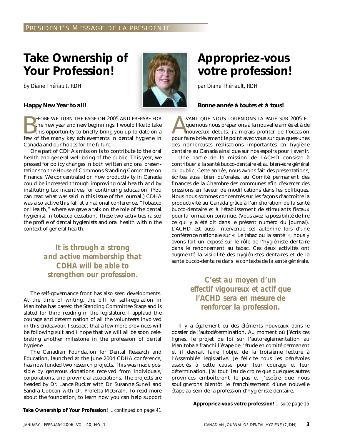### **Take Ownership of Your Profession!**

*by Diane Thériault, RDH*



### *Happy New Year to all!*

EFORE WE TURN THE PAGE ON 2005 AND PREPARE FOR<br>the new year and new beginnings, I would like to take<br>this opportunity to briefly bring you up to date on a<br>few of the many key achievements in dental hygiene in the new year and new beginnings, I would like to take this opportunity to briefly bring you up to date on a few of the many key achievements in dental hygiene in Canada and our hopes for the future.

One part of CDHA's mission is to contribute to the oral health and general well-being of the public. This year, we pressed for policy changes in both written and oral presentations to the House of Commons Standing Committee on Finance. We concentrated on how productivity in Canada could be increased through improving oral health and by instituting tax incentives for continuing education. (You can read what was said in this issue of the journal.) CDHA was also active this fall at a national conference, "Tobacco or Health," where we gave a talk on the role of the dental hygienist in tobacco cessation. These two activities raised the profile of dental hygienists and oral health within the context of general health.

> *It is through a strong and active membership that CDHA will be able to strengthen our profession. C'est au moyen d'un*

The self-governance front has also seen developments. At the time of writing, the bill for self-regulation in Manitoba has passed the Standing Committee Stage and is slated for third reading in the legislature. I applaud the courage and determination of all the volunteers involved in this endeavour. I suspect that a few more provinces will be following suit and I hope that we will all be soon celebrating another milestone in the profession of dental hygiene.

The Canadian Foundation for Dental Research and Education, launched at the June 2004 CDHA conference, has now funded two research projects. This was made possible by generous donations received from individuals, corporations, and provincial associations. The projects are headed by Dr. Lance Rucker with Dr. Susanne Sunell and Sandra Cobban with Dr. Profetta-McGrath. To read more about the foundation, to learn how you can help support

**Take Ownership of Your Profession!** *…continued on page 41*

### **Appropriez-vous votre profession!**

*par Diane Thériault, RDH*

### *Bonne année à toutes et à tous!*

VANT QUE NOUS TOURNIONS LA PAGE SUR 2005 ET<br>que nous nous préparions à la nouvelle année et à de<br>nouveaux débuts, j'aimerais profiter de l'occasion<br>pour faire brièvement le noint avec vous sur quelques-unes que nous nous préparions à la nouvelle année et à de nouveaux débuts, j'aimerais profiter de l'occasion pour faire brièvement le point avec vous sur quelques-unes des nombreuses réalisations importantes en hygiène dentaire au Canada ainsi que sur nos espoirs pour l'avenir.

Une partie de la mission de l'ACHD consiste à contribuer à la santé bucco-dentaire et au bien-être général du public. Cette année, nous avons fait des présentations, écrites aussi bien qu'orales, au Comité permanent des finances de la Chambre des communes afin d'exercer des pressions en faveur de modifications dans les politiques. Nous nous sommes concentrés sur les façons d'accroître la productivité au Canada grâce à l'amélioration de la santé bucco-dentaire et à l'établissement de stimulants fiscaux pour la formation continue. (Vous avez la possibilité de lire ce qui y a été dit dans le présent numéro du journal). L'ACHD est aussi intervenue cet automne lors d'une conférence nationale sur « Le tabac ou la santé »; nous y avons fait un exposé sur le rôle de l'hygiéniste dentaire dans le renoncement au tabac. Ces deux activités ont augmenté la visibilité des hygiénistes dentaires et de la santé bucco-dentaire dans le contexte de la santé générale.

> *effectif vigoureux et actif que l'ACHD sera en mesure de renforcer la profession.*

Il y a également eu des éléments nouveaux dans le dossier de l'autodétermination. Au moment où j'écris ces lignes, le projet de loi sur l'autoréglementation au Manitoba a franchi l'étape de l'étude en comité permanent et il devrait faire l'objet de la troisième lecture à l'Assemblée législative. Je félicite tous les bénévoles associés à cette cause pour leur courage et leur détermination. J'ai tout lieu de croire que quelques autres provinces emboîteront le pas et j'espère que nous soulignerons bientôt le franchissement d'une nouvelle étape au sein de la profession d'hygiéniste dentaire.

**Appropriez-vous votre profession!** *…suite page 15*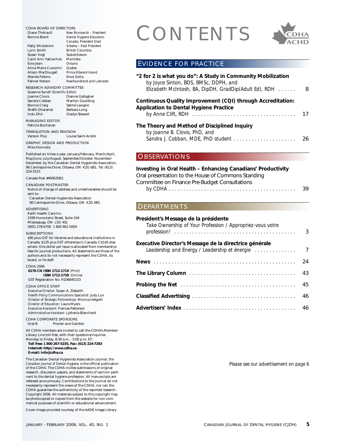Diane Thériault *New Brunswick – President*  $Dental$  *Hygiene Educators Canada; President Elect* Patty Wickstrom *Alberta – Past President* British *Columbia*<br>Saskatchewan Susan Vogt<br>
Carol Ann Yakiwchuk<br>
Manitoba Carol Ann Yakiwchuk *Manitob*<br>**Exic Jesin** *Ontario* Evie Jesin *Ontario* Anna Maria Cuzzolini *Quebec* Alison MacDougall *Prince Edwa*<br>Wanda Fedora *Nova Scotia*  $Newfoundland$  and Labrador

### RESEARCH ADVISORY COMMITTEE Susanne Sunell *(Scientific Editor)* Joanne Clovis Dianne Gallagher<br>Sandra Cobban Marilyn Goulding

Marilyn Goulding<br>Salme Lavigne Bonnie Craig Salme Lavigne<br>Shafik Dharamsi Barbara Long Shafik Dharamsi Indu Dhir Gladys Stewart

MANAGING EDITOR Patricia Buchanan

Wanda Fedora *Nova Scotia*

TRANSLATION AND REVISION Version Plus Louise Saint-André

GRAPHIC DESIGN AND PRODUCTION Mike Donnelly

Published six times a year, January/February, March/April, May/June, July/August, September/October, November/ December, by the Canadian Dental Hygienists Association, 96 Centrepointe Drive, Ottawa, ON K2G 6B1. Tel: (613) 224-5515

Canada Post #40063062.

CANADIAN POSTMASTER

Notice of change of address and undeliverables should be sent to:

Canadian Dental Hygienists Association 96 Centrepointe Drive, Ottawa, ON K2G 6B1

ADVERTISING Keith Health Care Inc. 1599 Hurontario Street, Suite 104 Mississauga, ON L5G 4S1 (905) 278-6700 1 800 661-5004

#### SUBSCRIPTIONS

\$90 plus GST for libraries and educational institutions in Canada; \$135 plus GST otherwise in Canada; C\$145 elsewhere. One dollar per issue is allocated from membership fees for journal productions. All statements are those of the authors and do not necessarily represent the CDHA, its board, or its staff.

CDHA 2006

**6176 CN ISSN 1712-171X** *(Print)* **ISSN 1712-1728** *(Online)* GST Registration No. R106845233

CDHA OFFICE STAFF

*Executive Director:* Susan A. Ziebarth *Health Policy Communications Specialist:* Judy Lux *Director of Strategic Partnerships:* Monica Helgoth *Director of Education:* Laura Myers *Executive Assistant:* Frances Patterson *Administrative Assistant:* Lythecia Blanchard

CDHA CORPORATE SPONSORS<br>Oral-B Procter and Gan Procter and Gamble

All CDHA members are invited to call the CDHA's Member/ Library Line toll-free, with their questions/inquiries

Monday to Friday, 8:30 a.m. - 5:00 p.m. ET: **Toll free: 1 800 267-5235, Fax: (613) 224-7283 Internet: http://www.cdha.ca E-mail: info@cdha.ca**

The Canadian Dental Hygienists Association journal, the *Canadian Journal of Dental Hygiene,* is the official publication of the CDHA. The CDHA invites submissions of original research, discussion papers, and statements of opinion pertinent to the dental hygiene profession. All manuscripts are refereed anonymously. Contributions to the journal do not necessarily represent the views of the CDHA, nor can the CDHA guarantee the authenticity of the reported research. Copyright 2006. All materials subject to this copyright may be photocopied or copied from the website for non-commercial purposes of scientific or educational advancement.

Cover image provided courtesy of the AADE Image Library

## CDHA BOARD OF DIRECTORS<br>
Diane Thériault<br>
Bonnie Blank<br>
Patty Wickstrom<br>
Alberta - Past President<br>
Alberta - Past President<br>
Patty Wickstrom<br>
Alberta - Past President



### EVIDENCE FOR PRACTICE

| "2 for 2 is what you do": A Study in Community Mobilization<br>by Joyce Sinton, BDS, BMSc, DDPH, and<br>Elizabeth McIntosh, BA, DipDH, GradDip(Adult Ed), RDH | 8 |
|---------------------------------------------------------------------------------------------------------------------------------------------------------------|---|
| Continuous Quality Improvement (CQI) through Accreditation:<br><b>Application to Dental Hygiene Practice</b>                                                  |   |
| The Theory and Method of Disciplined Inquiry<br>by Joanne B. Clovis, PhD, and                                                                                 |   |

### OBSERVATIONS

### **Investing in Oral Health – Enhancing Canadians' Productivity**

Oral presentation to the House of Commons Standing

| Committee on Finance Pre-Budget Consultations |    |
|-----------------------------------------------|----|
|                                               | 39 |

*Sandra J. Cobban, MDE, PhD student . . . . . . . . . . . . . . . . . . . . .* 26

### DEPARTMENTS

### **President's Message de la présidente**

| Take Ownership of Your Profession / Appropriez-vous votre | $\overline{3}$ |
|-----------------------------------------------------------|----------------|
| Executive Director's Message de la directrice générale    |                |
|                                                           | 24             |
|                                                           | 43             |
|                                                           | 45             |
|                                                           |                |
|                                                           |                |

*Please see our advertisement on page 6*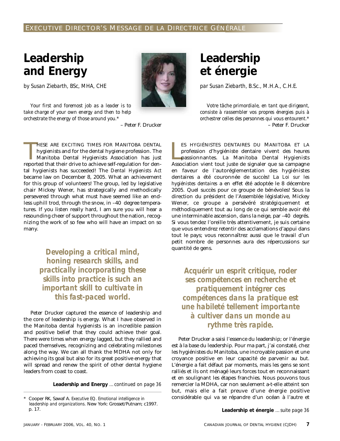### **Leadership and Energy**

*by Susan Ziebarth, BSc, MHA, CHE*

*Your first and foremost job as a leader is to take charge of your own energy and then to help orchestrate the energy of those around you.\**



– Peter F. Drucker

HESE ARE EXCITING TIMES FOR MANITOBA DENTAL<br>hygienists and for the dental hygiene profession. The<br>Manitoba Dental Hygienists Association has just<br>reported that their drive to achieve self-regulation for den-HESE ARE EXCITING TIMES FOR MANITOBA DENTAL hygienists and for the dental hygiene profession. The Manitoba Dental Hygienists Association has just tal hygienists has succeeded! The *Dental Hygienists Act* became law on December 8, 2005. What an achievement for this group of volunteers! The group, led by legislative chair Mickey Wener, has strategically and methodically persevered through what must have seemed like an endless uphill trod, through the snow, in –40 degree temperatures. If you listen really hard, I am sure you will hear a resounding cheer of support throughout the nation, recognizing the work of so few who will have an impact on so many.

> *Developing a critical mind, honing research skills, and practically incorporating these skills into practice is such an important skill to cultivate in this fast-paced world.*

Peter Drucker captured the essence of leadership and the core of leadership is energy. What I have observed in the Manitoba dental hygienists is an incredible passion and positive belief that they could achieve their goal. There were times when energy lagged, but they rallied and paced themselves, recognizing and celebrating milestones along the way. We can all thank the MDHA not only for achieving its goal but also for its great positive energy that will spread and renew the spirit of other dental hygiene leaders from coast to coast.

**Leadership and Energy** *…continued on page 36*

### **Leadership et énergie**

*par Susan Ziebarth, B.Sc., M.H.A., C.H.E.*

*Votre tâche primordiale, en tant que dirigeant, consiste à rassembler vos propres énergies puis à orchestrer celles des personnes qui vous entourent.\** – Peter F. Drucker

ES HYGIÉNISTES DENTAIRES DU MANITOBA ET LA profession d'hygiéniste dentaire vivent des heures passionnantes. La Manitoba Dental Hygienists Association vient tout juste de signaler que sa campagne ES HYGIÉNISTES DENTAIRES DU MANITOBA ET LA profession d'hygiéniste dentaire vivent des heures passionnantes. La Manitoba Dental Hygienists en faveur de l'autoréglementation des hygiénistes dentaires a été couronnée de succès! La *Loi sur les hygiénistes dentaires* a en effet été adoptée le 8 décembre 2005. Quel succès pour ce groupe de bénévoles! Sous la direction du président de l'Assemblée législative, Mickey Wener, ce groupe a persévéré stratégiquement et méthodiquement tout au long de ce qui semble avoir été une interminable ascension, dans la neige, par –40 degrés. Si vous tendez l'oreille très attentivement, je suis certaine que vous entendrez retentir des acclamations d'appui dans tout le pays; vous reconnaîtrez aussi que le travail d'un petit nombre de personnes aura des répercussions sur quantité de gens.

*Acquérir un esprit critique, roder ses compétences en recherche et pratiquement intégrer ces compétences dans la pratique est une habileté tellement importante à cultiver dans un monde au rythme très rapide.*

Peter Drucker a saisi l'essence du leadership; or l'énergie est à la base du leadership. Pour ma part, j'ai constaté, chez les hygiénistes du Manitoba, une incroyable passion et une croyance positive en leur capacité de parvenir au but. L'énergie a fait défaut par moments, mais les gens se sont ralliés et ils ont ménagé leurs forces tout en reconnaissant et en soulignant les étapes franchies. Nous pouvons tous remercier la MDHA, car non seulement a-t-elle atteint son but, mais elle a fait preuve d'une énergie positive considérable qui va se répandre d'un océan à l'autre et

**Leadership et énergie** *…suite page 36*

<sup>\*</sup> Cooper RK, Sawaf A. *Executive EQ. Emotional intelligence in leadership and organizations*. New York: Grosset/Putnam; c1997. p. 17.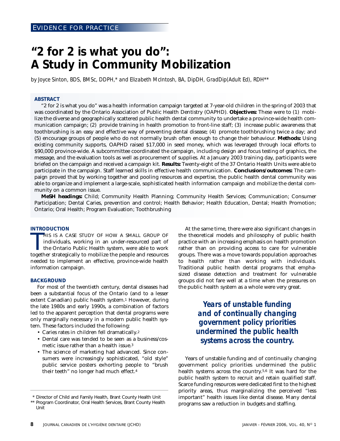### **"2 for 2 is what you do": A Study in Community Mobilization**

*by Joyce Sinton, BDS, BMSc, DDPH,\* and Elizabeth McIntosh, BA, DipDH, GradDip(Adult Ed), RDH\*\**

### **ABSTRACT**

"2 for 2 is what you do" was a health information campaign targeted at 7-year-old children in the spring of 2003 that was coordinated by the Ontario Association of Public Health Dentistry (OAPHD). **Objectives:** These were to (1) mobilize the diverse and geographically scattered public health dental community to undertake a province-wide health communication campaign; (2) provide training in health promotion to front-line staff; (3) increase public awareness that toothbrushing is an easy and effective way of preventing dental disease; (4) promote toothbrushing twice a day; and (5) encourage groups of people who do not normally brush often enough to change their behaviour. **Methods:** Using existing community supports, OAPHD raised \$17,000 in seed money, which was leveraged through local efforts to \$90,000 province-wide. A subcommittee coordinated the campaign, including design and focus testing of graphics, the message, and the evaluation tools as well as procurement of supplies. At a January 2003 training day, participants were briefed on the campaign and received a campaign kit. **Results:** Twenty-eight of the 37 Ontario Health Units were able to participate in the campaign. Staff learned skills in effective health communication. **Conclusions/outcomes:** The campaign proved that by working together and pooling resources and expertise, the public health dental community was able to organize and implement a large-scale, sophisticated health information campaign and mobilize the dental community on a common issue.

**MeSH headings:** Child; Community Health Planning; Community Health Services; Communication; Consumer Participation; Dental Caries, prevention and control; Health Behavior; Health Education, Dental; Health Promotion; Ontario; Oral Health; Program Evaluation; Toothbrushing

### **INTRODUCTION**

HIS IS A CASE STUDY OF HOW A SMALL GROUP OF individuals, working in an under-resourced part of the Ontario Public Health system, were able to work together strategically to mobilize the people and resources HIS IS A CASE STUDY OF HOW A SMALL GROUP OF individuals, working in an under-resourced part of the Ontario Public Health system, were able to work needed to implement an effective, province-wide health information campaign.

#### **BACKGROUND**

For most of the twentieth century, dental diseases had been a substantial focus of the Ontario (and to a lesser extent Canadian) public health system.<sup>1</sup> However, during the late 1980s and early 1990s, a combination of factors led to the apparent perception that dental programs were only marginally necessary in a modern public health system. These factors included the following:

- Caries rates in children fell dramatically.2
- Dental care was tended to be seen as a business/cosmetic issue rather than a health issue.3
- The science of marketing had advanced. Since consumers were increasingly sophisticated, "old style" public service posters exhorting people to "brush their teeth" no longer had much effect.4

At the same time, there were also significant changes in the theoretical models and philosophy of public health practice with an increasing emphasis on health promotion rather than on providing access to care for vulnerable groups. There was a move towards population approaches to health rather than working with individuals. Traditional public health dental programs that emphasized disease detection and treatment for vulnerable groups did not fare well at a time when the pressures on the public health system as a whole were very great.

> *Years of unstable funding and of continually changing government policy priorities undermined the public health systems across the country.*

Years of unstable funding and of continually changing government policy priorities undermined the public health systems across the country.5,6 It was hard for the public health system to recruit and retain qualified staff. Scarce funding resources were dedicated first to the highest priority areas, thus marginalizing the perceived "less important" health issues like dental disease. Many dental programs saw a reduction in budgets and staffing.

<sup>\*</sup> Director of Child and Family Health, Brant County Health Unit

<sup>\*\*</sup> Program Coordinator, Oral Health Services, Brant County Health Unit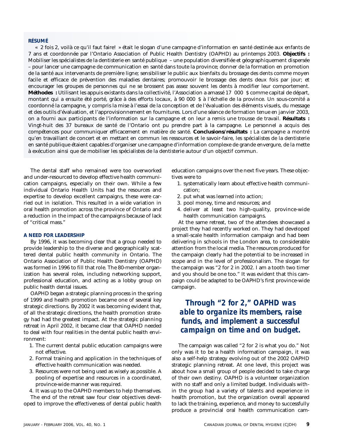### **RÉSUMÉ**

« 2 fois 2, voilà ce qu'il faut faire! » était le slogan d'une campagne d'information en santé destinée aux enfants de 7 ans et coordonnée par l'Ontario Association of Public Health Dentistry (OAPHD) au printemps 2003. **Objectifs :** Mobiliser les spécialistes de la dentisterie en santé publique – une population diversifiée et géographiquement dispersée – pour lancer une campagne de communication en santé dans toute la province; donner de la formation en promotion de la santé aux intervenants de première ligne; sensibiliser le public aux bienfaits du brossage des dents comme moyen facile et efficace de prévention des maladies dentaires; promouvoir le brossage des dents deux fois par jour; et encourager les groupes de personnes qui ne se brossent pas assez souvent les dents à modifier leur comportement. **Méthodes :** Utilisant les appuis existants dans la collectivité, l'Association a amassé 17 000 \$ comme capital de départ, montant qui a ensuite été porté, grâce à des efforts locaux, à 90 000 \$ à l'échelle de la province. Un sous-comité a coordonné la campagne, y compris la mise à l'essai de la conception et de l'évaluation des éléments visuels, du message et des outils d'évaluation, et l'approvisionnement en fournitures. Lors d'une séance de formation tenue en janvier 2003, on a fourni aux participants de l'information sur la campagne et on leur a remis une trousse de travail. **Résultats :** Vingt-huit des 37 bureaux de santé de l'Ontario ont pu prendre part à la campagne. Le personnel a acquis des compétences pour communiquer efficacement en matière de santé. **Conclusions/résultats :** La campagne a montré qu'en travaillant de concert et en mettant en commun les ressources et le savoir-faire, les spécialistes de la dentisterie en santé publique étaient capables d'organiser une campagne d'information complexe de grande envergure, de la mette à exécution ainsi que de mobiliser les spécialistes de la dentisterie autour d'un objectif commun.

The dental staff who remained were too overworked and under-resourced to develop effective health communication campaigns, especially on their own. While a few individual Ontario Health Units had the resources and expertise to develop excellent campaigns, these were carried out in isolation. This resulted in a wide variation in oral health promotion across the province of Ontario and a reduction in the impact of the campaigns because of lack of "critical mass."

### **A NEED FOR LEADERSHIP**

By 1996, it was becoming clear that a group needed to provide leadership to the diverse and geographically scattered dental public health community in Ontario. The Ontario Association of Public Health Dentistry (OAPHD) was formed in 1996 to fill that role. The 80-member organization has several roles, including networking support, professional education, and acting as a lobby group on public health dental issues.

OAPHD began a strategic planning process in the spring of 1999 and health promotion became one of several key strategic directions. By 2002 it was becoming evident that, of all the strategic directions, the health promotion strategy had had the greatest impact. At the strategic planning retreat in April 2002, it became clear that OAPHD needed to deal with four realities in the dental public health environment:

- 1. The current dental public education campaigns were not effective.
- 2. Formal training and application in the techniques of effective health communication was needed.
- 3. Resources were not being used as wisely as possible. A pooling of expertise and resources in a coordinated, province-wide manner was required.
- 4. It was up to the OAPHD members to help themselves.

The end of the retreat saw four clear objectives developed to improve the effectiveness of dental public health education campaigns over the next five years. These objectives were to

- 1. systematically learn about effective health communication;
- 2. put what was learned into action;
- 3. pool money, time and resources; and
- 4. deliver at least two high-quality, province-wide health communication campaigns.

At the same retreat, two of the attendees showcased a project they had recently worked on. They had developed a small-scale health information campaign and had been delivering in schools in the London area, to considerable attention from the local media. The resources produced for the campaign clearly had the potential to be increased in scope and in the level of professionalism. The slogan for the campaign was "2 for 2 in 2002. I am a tooth two timer and you should be one too." It was evident that this campaign could be adapted to be OAPHD's first province-wide campaign.

### *Through "2 for 2," OAPHD was able to organize its members, raise funds, and implement a successful campaign on time and on budget.*

The campaign was called "2 for 2 is what you do." Not only was it to be a health information campaign, it was also a self-help strategy evolving out of the 2002 OAPHD strategic planning retreat. At one level, this project was about how a small group of people decided to take charge of their own destiny. OAPHD is a volunteer organization with no staff and only a limited budget. Individuals within the group had a variety of talents and experience in health promotion, but the organization overall appeared to lack the training, experience, and money to successfully produce a provincial oral health communication cam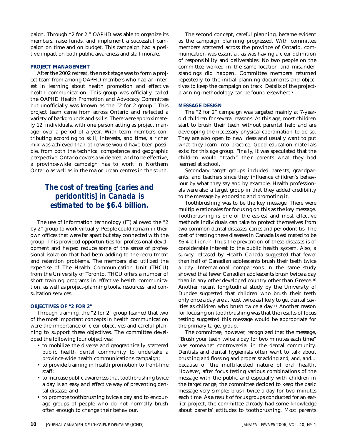paign. Through "2 for 2," OAPHD was able to organize its members, raise funds, and implement a successful campaign on time and on budget. This campaign had a positive impact on both public awareness and staff morale.

### **PROJECT MANAGEMENT**

After the 2002 retreat, the next stage was to form a project team from among OAPHD members who had an interest in learning about health promotion and effective health communication. This group was officially called the OAPHD Health Promotion and Advocacy Committee but unofficially was known as the "2 for 2 group." This project team came from across Ontario and reflected a variety of backgrounds and skills. There were approximately 12 individuals, with one person acting as project manager over a period of a year. With team members contributing according to skill, interests, and time, a richer mix was achieved than otherwise would have been possible, from both the technical competence and geographic perspective. Ontario covers a wide area, and to be effective, a province-wide campaign has to work in Northern Ontario as well as in the major urban centres in the south.

### *The cost of treating [caries and peridontitis] in Canada is estimated to be \$6.4 billion.*

The use of information technology (IT) allowed the "2 by 2" group to work virtually. People could remain in their own offices that were far apart but stay connected with the group. This provided opportunities for professional development and helped reduce some of the sense of professional isolation that had been adding to the recruitment and retention problems. The members also utilized the expertise of The Health Communication Unit (THCU) from the University of Toronto. THCU offers a number of short training programs in effective health communication, as well as project-planning tools, resources, and consultation services.

### **OBJECTIVES OF "2 FOR 2"**

Through training, the "2 for 2" group learned that two of the most important concepts in health communication were the importance of clear objectives and careful planning to support these objectives. The committee developed the following four objectives:

- to mobilize the diverse and geographically scattered public health dental community to undertake a province-wide health communications campaign;
- to provide training in health promotion to front-line staff;
- to increase public awareness that toothbrushing twice a day is an easy and effective way of preventing dental disease; and
- to promote toothbrushing twice a day and to encourage groups of people who do not normally brush often enough to change their behaviour.

The second concept, careful planning, became evident as the campaign planning progressed. With committee members scattered across the province of Ontario, communication was essential, as was having a clear definition of responsibility and deliverables. No two people on the committee worked in the same location and misunderstandings did happen. Committee members returned repeatedly to the initial planning documents and objectives to keep the campaign on track. Details of the projectplanning methodology can be found elsewhere.7

### **MESSAGE DESIGN**

The "2 for 2" campaign was targeted mainly at 7-yearold children for several reasons. At this age, most children start to brush their teeth without parental help and are developing the necessary physical coordination to do so. They are also open to new ideas and usually want to put what they learn into practice. Good education materials exist for this age group. Finally, it was speculated that the children would "teach" their parents what they had learned at school.

Secondary target groups included parents, grandparents, and teachers since they influence children's behaviour by what they say and by example. Health professionals were also a target group in that they added credibility to the message by endorsing and promoting it.

Toothbrushing was to be the key message. There were multiple rationales for focusing on this as the key message. Toothbrushing is one of the easiest and most effective methods individuals can take to protect themselves from two common dental diseases, caries and periodontitis. The cost of treating these diseases in Canada is estimated to be \$6.4 billion.8,9 Thus the prevention of these diseases is of considerable interest to the public health system. Also, a survey released by Health Canada suggested that fewer than half of Canadian adolescents brush their teeth twice a day. International comparisons in the same study showed that fewer Canadian adolescents brush twice a day than in any other developed country other than Greece.10 Another recent longitudinal study by the University of Dundee suggested that children who brush their teeth only once a day are at least twice as likely to get dental cavities as children who brush twice a day.11 Another reason for focusing on toothbrushing was that the results of focus testing suggested this message would be appropriate for the primary target group.

The committee, however, recognized that the message, "Brush your teeth twice a day for two minutes each time" was somewhat controversial in the dental community. Dentists and dental hygienists often want to talk about brushing *and* flossing *and* proper snacking *and, and, and…* because of the multifaceted nature of oral health. However, after focus testing various combinations of the message with the public and especially with children in the target range, the committee decided to keep the basic message very simple: brush twice a day for two minutes each time. As a result of focus groups conducted for an earlier project, the committee already had some knowledge about parents' attitudes to toothbrushing. Most parents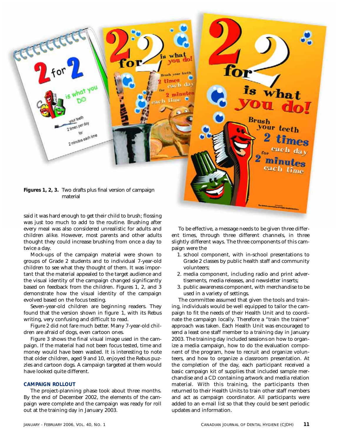

said it was hard enough to get their child to brush; flossing was just too much to add to the routine. Brushing after every meal was also considered unrealistic for adults and children alike. However, most parents and other adults thought they could increase brushing from once a day to twice a day.

Mock-ups of the campaign material were shown to groups of Grade 2 students and to individual 7-year-old children to see what they thought of them. It was important that the material appealed to the target audience and the visual identity of the campaign changed significantly based on feedback from the children. Figures 1, 2, and 3 demonstrate how the visual identity of the campaign evolved based on the focus testing.

Seven-year-old children are beginning readers. They found that the version shown in figure 1, with its Rebus writing, very confusing and difficult to read.

Figure 2 did not fare much better. Many 7-year-old children are afraid of dogs, even cartoon ones.

Figure 3 shows the final visual image used in the campaign. If the material had not been focus tested, time and money would have been wasted. It is interesting to note that older children, aged 9 and 10, enjoyed the Rebus puzzles and cartoon dogs. A campaign targeted at them would have looked quite different.

### **CAMPAIGN ROLLOUT**

The project-planning phase took about three months. By the end of December 2002, the elements of the campaign were complete and the campaign was ready for roll out at the training day in January 2003.

To be effective, a message needs to be given three different times, through three different channels, in three slightly different ways. The three components of this campaign were the

- 1. school component, with in-school presentations to Grade 2 classes by public health staff and community volunteers;
- 2. media component, including radio and print advertisements, media releases, and newsletter inserts;
- 3. public awareness component, with merchandise to be used in a variety of settings.

The committee assumed that given the tools and training, individuals would be well equipped to tailor the campaign to fit the needs of their Health Unit and to coordinate the campaign locally. Therefore a "train the trainer" approach was taken. Each Health Unit was encouraged to send a least one staff member to a training day in January 2003. The training day included sessions on how to organize a media campaign, how to do the evaluation component of the program, how to recruit and organize volunteers, and how to organize a classroom presentation. At the completion of the day, each participant received a basic campaign kit of supplies that included sample merchandise and a CD containing artwork and media relation material. With this training, the participants then returned to their Health Units to train other staff members and act as campaign coordinator. All participants were added to an e-mail list so that they could be sent periodic updates and information.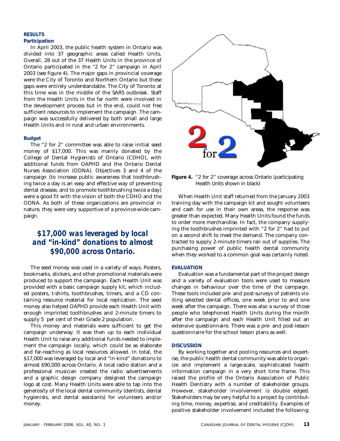### **RESULTS Participation**

In April 2003, the public health system in Ontario was divided into 37 geographic areas called Health Units. Overall, 28 out of the 37 Health Units in the province of Ontario participated in the "2 for 2" campaign in April 2003 (see figure 4). The major gaps in provincial coverage were the City of Toronto and Northern Ontario but these gaps were entirely understandable. The City of Toronto at this time was in the middle of the SARS outbreak. Staff from the Health Units in the far north were involved in the development process but in the end, could not free sufficient resources to implement the campaign. The campaign was successfully delivered by both small and large Health Units and in rural and urban environments.

### **Budget**

The "2 for 2" committee was able to raise initial seed money of \$17,000. This was mainly donated by the College of Dental Hygienists of Ontario (CDHO), with additional funds from OAPHD and the Ontario Dental Nurses Association (ODNA). Objectives 3 and 4 of the campaign (to increase public awareness that toothbrushing twice a day is an easy and effective way of preventing dental disease, and to promote toothbrushing twice a day) were a good fit with the vision of both the CDHO and the ODNA. As both of these organizations are provincial in nature, they were very supportive of a province-wide campaign.

### *\$17,000 was leveraged by local and "in-kind" donations to almost \$90,000 across Ontario.*

The seed money was used in a variety of ways. Posters, bookmarks, stickers, and other promotional materials were produced to support the campaign. Each Health Unit was provided with a basic campaign supply kit, which included posters, t-shirts, toothbrushes, timers, and a CD containing resource material for local replication. The seed money also helped OAPHD provide each Health Unit with enough imprinted toothbrushes and 2-minute timers to supply 5 per cent of their Grade 2 population.

This money and materials were sufficient to get the campaign underway. It was then up to each individual Health Unit to raise any additional funds needed to implement the campaign locally, which could be as elaborate and far-reaching as local resources allowed. In total, the \$17,000 was leveraged by local and "in-kind" donations to almost \$90,000 across Ontario. A local radio station and a professional musician created the radio advertisements and a graphic design company designed the campaign logo at cost. Many Health Units were able to tap into the generosity of the local dental community (dentists, dental hygienists, and dental assistants) for volunteers and/or money.



**Figure 4.** "2 for 2" coverage across Ontario (participating Health Units shown in black)

When Health Unit staff returned from the January 2003 training day with the campaign kit and sought volunteers and cash for use in their own areas, the response was greater than expected. Many Health Units found the funds to order more merchandise. In fact, the company supplying the toothbrushes imprinted with "2 for 2" had to put on a second shift to meet the demand. The company contracted to supply 2-minute timers ran out of supplies. The purchasing power of public health dental community when they worked to a common goal was certainly noted.

### **EVALUATION**

Evaluation was a fundamental part of the project design and a variety of evaluation tools were used to measure changes in behaviour over the time of the campaign. These tools included pre- and post-surveys of patients visiting selected dental offices, one week prior to and one week after the campaign. There was also a survey of those people who telephoned Health Units during the month after the campaign and each Health Unit filled out an extensive questionnaire. There was a pre- and post-lesson questionnaire for the school lesson plans as well.

### **DISCUSSION**

By working together and pooling resources and expertise, the public health dental community was able to organize and implement a large-scale, sophisticated health information campaign in a very short time frame. This raised the profile of the Ontario Association of Public Health Dentistry with a number of stakeholder groups. However, stakeholder involvement is double edged. Stakeholders may be very helpful to a project by contributing time, money, expertise, and creditability. Examples of positive stakeholder involvement included the following: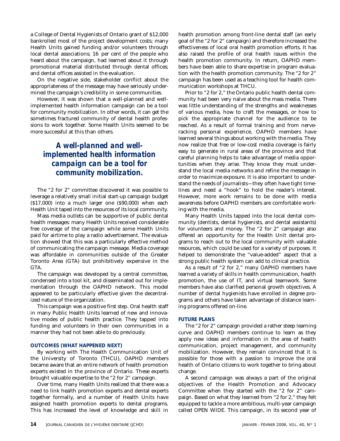a College of Dental Hygienists of Ontario grant of \$12,000 bankrolled most of the project development costs; many Health Units gained funding and/or volunteers through local dental associations; 16 per cent of the people who heard about the campaign, had learned about it through promotional material distributed through dental offices; and dental offices assisted in the evaluation.

On the negative side, stakeholder conflict about the appropriateness of the message may have seriously undermined the campaign's credibility in some communities.

However, it was shown that a well-planned and wellimplemented health information campaign can be a tool for community mobilization. In other words, it can get the sometimes fractured community of dental health professions to work together. Some Health Units seemed to be more successful at this than others.

### *A well-planned and wellimplemented health information campaign can be a tool for community mobilization.*

The "2 for 2" committee discovered it was possible to leverage a relatively small initial start-up campaign budget (\$17,000) into a much larger one (\$90,000) when each Health Unit taped into the resources of its local community.

Mass media outlets can be supportive of public dental health messages: many Health Units received considerable free coverage of the campaign while some Health Units paid for airtime to play a radio advertisement. The evaluation showed that this was a particularly effective method of communicating the campaign message. Media coverage was affordable in communities outside of the Greater Toronto Area (GTA) but prohibitively expensive in the GTA.

The campaign was developed by a central committee, condensed into a tool kit, and disseminated out for implementation through the OAPHD network. This model appeared to be particularly effective given the decentralized nature of the organization.

This campaign was a positive first step. Oral health staff in many Public Health Units learned of new and innovative modes of public health practice. They tapped into funding and volunteers in their own communities in a manner they had not been able to do previously.

### **OUTCOMES (WHAT HAPPENED NEXT)**

By working with The Health Communication Unit of the University of Toronto (THCU), OAPHD members became aware that an entire network of health promotion experts existed in the province of Ontario. These experts brought valuable expertise to the "2 for 2" campaign.

Over time, many Health Units realized that there was a need to link health promotion experts and dental experts together formally, and a number of Health Units have assigned health promotion experts to dental programs. This has increased the level of knowledge and skill in health promotion among front-line dental staff (an early goal of the "2 for 2" campaign) and therefore increased the effectiveness of local oral health promotion efforts. It has also raised the profile of oral health issues within the health promotion community. In return, OAPHD members have been able to share expertise in program evaluation with the health promotion community. The "2 for 2" campaign has been used as a teaching tool for health communication workshops at THCU.

Prior to "2 for 2," the Ontario public health dental community had been very naïve about the mass media. There was little understanding of the strengths and weaknesses of various media, how to craft the messages, or how to pick the appropriate channel for the audience to be reached. As a result of formal training and from nerveracking personal experience, OAPHD members have learned several things about working with the media. They now realize that free or low-cost media coverage is fairly easy to generate in rural areas of the province and that careful planning helps to take advantage of media opportunities when they arise. They know they must understand the local media networks and refine the message in order to maximize exposure. It is also important to understand the needs of journalists—they often have tight timelines and need a "hook" to hold the reader's interest. However, more work remains to be done with media awareness before OAPHD members are comfortable working with the media.

Many Health Units tapped into the local dental community (dentists, dental hygienists, and dental assistants) for volunteers and money. The "2 for 2" campaign also offered an opportunity for the Health Unit dental programs to reach out to the local community with valuable resources, which could be used for a variety of purposes. It helped to demonstrate the "value-added" aspect that a strong public health system can add to clinical practice.

As a result of "2 for 2," many OAPHD members have learned a variety of skills in health communication, health promotion, the use of IT, and virtual teamwork. Some members have also clarified personal growth objectives. A number of dental hygienists have enrolled in degree programs and others have taken advantage of distance learning programs offered on-line.

### **FUTURE PLANS**

The "2 for 2" campaign provided a rather steep learning curve and OAPHD members continue to learn as they apply new ideas and information in the area of health communication, project management, and community mobilization. However, they remain convinced that it is possible for those with a passion to improve the oral health of Ontario citizens to work together to bring about change.

A second campaign was always a part of the original objectives of the Health Promotion and Advocacy Committee when they started with the "2 for 2" campaign. Based on what they learned from "2 for 2," they felt equipped to tackle a more ambitious, multi-year campaign called OPEN WIDE. This campaign, in its second year of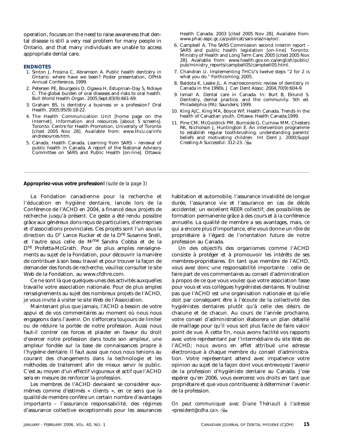operation, focuses on the need to raise awareness that dental disease is still a very real problem for many people in Ontario, and that many individuals are unable to access appropriate dental care.

#### **ENDNOTES**

- 1. Sinton J, Frosina C, Abramson A. Public health dentistry in Ontario: where have we been? Poster presentation, OPHA Annual Conference, 1999.
- 2. Petersen PE, Bourgeois D, Ogawa H, Estupinan-Day S, Ndiaye C. The global burden of oral diseases and risks to oral health. Bull World Health Organ. 2005;Sept;83(9):661-69.
- 3. Graham BS. Is dentistry a business or a profession? Oral Health. 2005;95(9):18-22.
- 4. The Health Communication Unit [home page on the Internet]. Information and resources [about 5 screens]. Toronto: Centre for Health Promotion, University of Toronto [cited 2005 Nov 28]. Available from: www.thcu.ca/info andresources.htm.
- 5. Canada. Health Canada. Learning from SARS renewal of public health in Canada. A report of the National Advisory Committee on SARS and Public Health [on-line]. Ottawa:

Health Canada; 2003 [cited 2005 Nov 28]. Available from: www.phac-aspc.gc.ca/publicat/sars-sras/naylor/.

- 6. Campbell A. The SARS Commission second interim report SARS and public health legislation [on-line]. Toronto: Ministry of Health and Long Term Care; 2005 [cited 2005 Nov 28]. Available from: www.health.gov.on.ca/english/public/ pub/ministry\_reports/campbell05/campbell05.html.
- 7. Chandran U. Implementing THCU's twelve steps "2 for 2 is what you do." Forthcoming; 2005.
- 8. Baldota K, Leake JL. A macroeconomic review of dentistry in Canada in the 1990s. J Can Dent Assoc. 2004;70(9):604-9.
- 9. Ismail A. Dental care in Canada. In: Burt B, Eklund S. Dentistry, dental practice, and the community. 5th ed. Philadelphia (PA): Saunders; 1999.
- 10. King AJC, King MA, Boyce WF, Health Canada. Trends in the health of Canadian youth. Ottawa: Health Canada;1999.
- 11. Pine CM, McGoldrick PM, Burnside G, Curnow MM, Chesters RK, Nicholson J, Huntington E. An intervention programme to establish regular toothbrushing: understanding parents' beliefs and motivating children. Int Dent J. 2000;Suppl Creating A Successful: 312-23.

**Appropriez-vous votre profession!** *(suite de la page 3)*

La Fondation canadienne pour la recherche et l'éducation en hygiène dentaire, lancée lors de la Conférence de l'ACHD en 2004, a financé deux projets de recherche jusqu'à présent. Ce geste a été rendu possible grâce aux généreux dons reçus de particuliers, d'entreprises et d'associations provinciales. Ces projets sont l'un sous la direction du Dr Lance Rucker et de la Dre Susanne Snell, et l'autre sous celle de Mme Sandra Cobba et de la Dre Profetta-McGrath. Pour de plus amples renseignements au sujet de la Fondation, pour découvrir la manière de contribuer à son beau travail et pour trouver la façon de demander des fonds de recherche, veuillez consulter le site Web de la Fondation, au www.cfdhre.com.

Ce ne sont là que quelques-unes des activités auxquelles travaille votre association nationale. Pour de plus amples renseignements au sujet des nombreux projets de l'ACHD, je vous invite à visiter le site Web de l'Association.

Maintenant plus que jamais, l'ACHD a besoin de votre appui et de vos commentaires au moment où nous nous engageons dans l'avenir. On s'efforcera toujours de limiter ou de réduire la portée de notre profession. Aussi nous faut-il contrer ces forces et plaider en faveur du droit d'exercer notre profession dans toute son ampleur, une ampleur fondée sur la base de connaissances propre à l'hygiène dentaire. Il faut aussi que nous nous tenions au courant des changements dans la technologie et les méthodes de traitement afin de mieux servir le public. C'est au moyen d'un effectif vigoureux et actif que l'ACHD sera en mesure de renforcer la profession.

Les membres de l'ACHD devraient se considérer euxmêmes comme d'estimés « clients », en ce sens que la qualité de membre confère un certain nombre d'avantages importants – l'assurance responsabilité; des régimes d'assurance collective exceptionnels pour les assurances

habitation et automobile, l'assurance invalidité de longue durée, l'assurance vie et l'assurance en cas de décès accidentel; un excellent REER collectif; des possibilités de formation permanente grâce à des cours et à la conférence annuelle. La qualité de membre a ses avantages, mais, ce qui a encore plus d'importance, elle vous donne un rôle de propriétaire à l'égard de l'orientation future de notre profession au Canada.

Un des objectifs des organismes comme l'ACHD consiste à protéger et à promouvoir les intérêts de ses membres-propriétaires. En tant que membre de l'ACHD, vous avez donc une responsabilité importante : celle de faire part de vos commentaires au conseil d'administration à propos de ce que vous voulez que votre association fasse pour vous et vos collègues hygiénistes dentaires. N'oubliez pas que l'ACHD est une organisation nationale et qu'elle doit par conséquent être à l'écoute de la collectivité des hygiénistes dentaires plutôt qu'à celle des désirs de chacune et de chacun. Au cours de l'année prochaine, votre conseil d'administration élaborera un plan détaillé de maillage pour qu'il vous soit plus facile de faire valoir point de vue. À cette fin, nous avons facilité vos rapports avec votre représentant par l'intermédiaire du site Web de l'ACHD; nous avons en effet attribué une adresse électronique à chaque membre du conseil d'administration. Votre représentant attend avec impatience votre opinion au sujet de la façon dont vous entrevoyez l'avenir de la profession d'hygiéniste dentaire au Canada. J'ose espérer qu'en 2006, vous exercerez vos droits en tant que propriétaire et que vous contribuerez à déterminer l'avenir de la profession.

*On peut communiquer avec Diane Thériault à l'adresse <president@cdha.ca>.*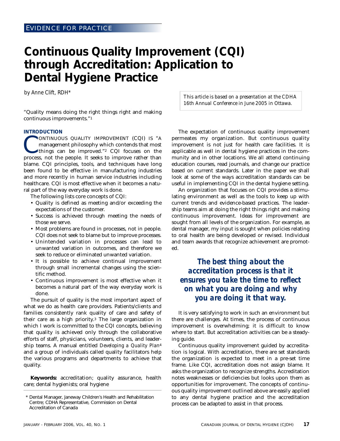### **Continuous Quality Improvement (CQI) through Accreditation: Application to Dental Hygiene Practice**

*by Anne Clift, RDH\**

"Quality means doing the right things right and making continuous improvements."1

#### **INTRODUCTION**

CONTINUOUS QUALITY IMPROVEMENT (CQI) IS "A management philosophy which contends that most things can be improved."<sup>2</sup> CQI focuses on the process not the people It seeks to improve rather than management philosophy which contends that most things can be improved."2 CQI focuses on the process, not the people. It seeks to improve rather than blame. CQI principles, tools, and techniques have long been found to be effective in manufacturing industries and more recently in human service industries including healthcare. CQI is most effective when it becomes a natural part of the way everyday work is done.

The following lists core concepts of CQI:

- Quality is defined as meeting and/or exceeding the expectations of the customer.
- Success is achieved through meeting the needs of those we serve.
- Most problems are found in processes, not in people. CQI does not seek to blame but to improve processes.
- Unintended variation in processes can lead to unwanted variation in outcomes, and therefore we seek to reduce or eliminated unwanted variation.
- It is possible to achieve continual improvement through small incremental changes using the scientific method.
- Continuous improvement is most effective when it becomes a natural part of the way everyday work is done.

The pursuit of quality is the most important aspect of what we do as health care providers. Patients/clients and families consistently rank quality of care and safety of their care as a high priority.3 The large organization in which I work is committed to the CQI concepts, believing that quality is achieved only through the collaborative efforts of staff, physicians, volunteers, clients, and leadership teams. A manual entitled *Developing a Quality Plan*<sup>4</sup> and a group of individuals called quality facilitators help the various programs and departments to achieve that quality.

**Keywords:** accreditation; quality assurance, health care; dental hygienists; oral hygiene

*This article is based on a presentation at the CDHA 16th Annual Conference in June 2005 in Ottawa.*

The expectation of continuous quality improvement permeates my organization. But continuous quality improvement is not just for health care facilities. It is applicable as well in dental hygiene practices in the community and in other locations. We all attend continuing education courses, read journals, and change our practice based on current standards. Later in the paper we shall look at some of the ways accreditation standards can be useful in implementing CQI in the dental hygiene setting.

An organization that focuses on CQI provides a stimulating environment as well as the tools to keep up with current trends and evidence-based practices. The leadership teams aim at doing the right things right and making continuous improvement. Ideas for improvement are sought from all levels of the organization. For example, as dental manager, my input is sought when policies relating to oral health are being developed or revised. Individual and team awards that recognize achievement are promoted.

### *The best thing about the accreditation process is that it ensures you take the time to reflect on what you are doing and why you are doing it that way.*

It is very satisfying to work in such an environment but there are challenges. At times, the process of continuous improvement is overwhelming; it is difficult to know where to start. But accreditation activities can be a steadying guide.

Continuous quality improvement guided by accreditation is logical. With accreditation, there are set standards the organization is expected to meet in a pre-set time frame. Like CQI, accreditation does not assign blame. It asks the organization to recognize strengths. Accreditation notes weaknesses or deficiencies but looks upon them as opportunities for improvement. The concepts of continuous quality improvement outlined above are easily applied to any dental hygiene practice and the accreditation process can be adapted to assist in that process.

<sup>\*</sup> Dental Manager, Janeway Children's Health and Rehabilitation Centre; CDHA Representative, Commission on Dental Accreditation of Canada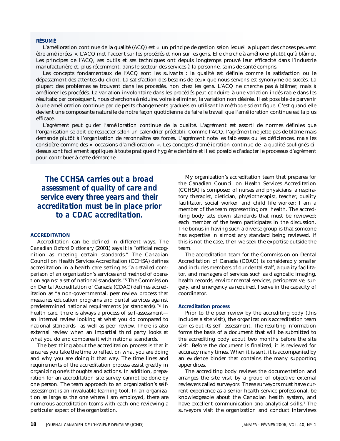### **RÉSUMÉ**

L'amélioration continue de la qualité (ACQ) est « un principe de gestion selon lequel la plupart des choses peuvent être améliorées ». L'ACQ met l'accent sur les procédés et non sur les gens. Elle cherche à améliorer plutôt qu'à blâmer. Les principes de l'ACQ, ses outils et ses techniques ont depuis longtemps prouvé leur efficacité dans l'industrie manufacturière et, plus récemment, dans le secteur des services à la personne, soins de santé compris.

Les concepts fondamentaux de l'ACQ sont les suivants : la qualité est définie comme la satisfaction ou le dépassement des attentes du client. La satisfaction des besoins de ceux que nous servons est synonyme de succès. La plupart des problèmes se trouvent dans les procédés, non chez les gens. L'ACQ ne cherche pas à blâmer, mais à améliorer les procédés. La variation involontaire dans les procédés peut conduire à une variation indésirable dans les résultats; par conséquent, nous cherchons à réduire, voire à éliminer, la variation non désirée. Il est possible de parvenir à une amélioration continue par de petits changements graduels en utilisant la méthode scientifique. C'est quand elle devient une composante naturelle de notre façon quotidienne de faire le travail que l'amélioration continue est la plus efficace.

L'agrément peut guider l'amélioration continue de la qualité. L'agrément est assorti de normes définies que l'organisation se doit de respecter selon un calendrier préétabli. Comme l'ACQ, l'agrément ne jette pas de blâme mais demande plutôt à l'organisation de reconnaître ses forces. L'agrément note les faiblesses ou les déficiences, mais les considère comme des « occasions d'amélioration ». Les concepts d'amélioration continue de la qualité soulignés cidessus sont facilement appliqués à toute pratique d'hygiène dentaire et il est possible d'adapter le processus d'agrément pour contribuer à cette démarche.

*The CCHSA carries out a broad assessment of quality of care and service every three years and their accreditation must be in place prior to a CDAC accreditation.*

### **ACCREDITATION**

Accreditation can be defined in different ways. The *Canadian Oxford Dictionary* (2001) says it is "official recognition as meeting certain standards." The Canadian Council on Health Services Accreditation (CCHSA) defines accreditation in a health care setting as "a detailed comparison of an organization's services and method of operation against a set of national standards."5 The Commission on Dental Accreditation of Canada (CDAC) defines accreditation as "a non-governmental, peer review process that measures education programs and dental services against predetermined national requirements (*or* standards)."6 In health care, there is always a process of self-assessment an internal review looking at what you do compared to national standards—as well as peer review. There is also external review when an impartial third party looks at what you do and compares it with national standards.

The best thing about the accreditation process is that it ensures you take the time to reflect on what you are doing and why you are doing it that way. The time lines and requirements of the accreditation process assist greatly in organizing one's thoughts and actions. In addition, preparation for an accreditation site survey cannot be done by one person. The team approach to an organization's selfassessment is an invaluable learning tool. In an organization as large as the one where I am employed, there are numerous accreditation teams with each one reviewing a particular aspect of the organization.

My organization's accreditation team that prepares for the Canadian Council on Health Services Accreditation (CCHSA) is composed of nurses and physicians, a respiratory therapist, dietician, physiotherapist, teacher, quality facilitator, social worker, and child life worker; I am a member of the team representing oral health. The accrediting body sets down standards that must be reviewed; each member of the team participates in the discussion. The bonus in having such a diverse group is that someone has expertise in almost any standard being reviewed. If this is not the case, then we seek the expertise outside the team.

The accreditation team for the Commission on Dental Accreditation of Canada (CDAC) is considerably smaller and includes members of our dental staff, a quality facilitator, and managers of services such as diagnostic imaging, health records, environmental services, perioperative, surgery, and emergency as required. I serve in the capacity of coordinator.

#### **Accreditation process**

Prior to the peer review by the accrediting body (this includes a site visit), the organization's accreditation team carries out its self- assessment. The resulting information forms the basis of a document that will be submitted to the accrediting body about two months before the site visit. Before the document is finalized, it is reviewed for accuracy many times. When it is sent, it is accompanied by an evidence binder that contains the many supporting appendices.

The accrediting body reviews the documentation and arranges the site visit by a group of objective external reviewers called surveyors. These surveyors must have current experience as a senior health service professional, be knowledgeable about the Canadian health system, and have excellent communication and analytical skills.7 The surveyors visit the organization and conduct interviews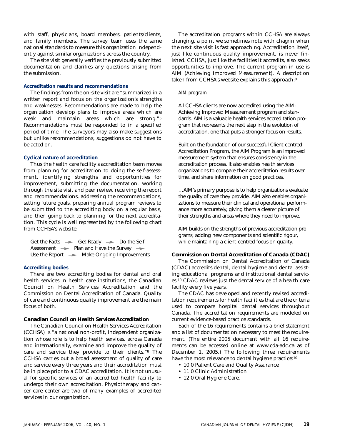with staff, physicians, board members, patients/clients, and family members. The survey team uses the same national standards to measure this organization independently against similar organizations across the country.

The site visit generally verifies the previously submitted documentation and clarifies any questions arising from the submission.

### **Accreditation results and recommendations**

The findings from the on-site visit are "summarized in a written report and focus on the organization's strengths and weaknesses. Recommendations are made to help the organization develop plans to improve areas which are weak and maintain areas which are strong."5 Recommendations must be responded to in a specified period of time. The surveyors may also make suggestions but unlike recommendations, suggestions do not have to be acted on.

### **Cyclical nature of accreditation**

Thus the health care facility's accreditation team moves from planning for accreditation to doing the self-assessment, identifying strengths and opportunities for improvement, submitting the documentation, working through the site visit and peer review, receiving the report and recommendations, addressing the recommendations, setting future goals, preparing annual program reviews to be submitted to the accrediting body on a regular basis, and then going back to planning for the next accreditation. This cycle is well represented by the following chart from CCHSA's website:

| Get the Facts $\rightarrow$ Get Ready $\rightarrow$ Do the Self- |
|------------------------------------------------------------------|
| Assessment $\rightarrow$ Plan and Have the Survey $\rightarrow$  |
| Use the Report $\rightarrow$ Make Ongoing Improvements           |

### **Accrediting bodies**

There are two accrediting bodies for dental and oral health services in health care institutions, the Canadian Council on Health Services Accreditation and the Commission on Dental Accreditation of Canada. Quality of care and continuous quality improvement are the main focus of both.

### *Canadian Council on Health Services Accreditation*

The Canadian Council on Health Services Accreditation (CCHSA) is "a national non-profit, independent organization whose role is to help health services, across Canada and internationally, examine and improve the quality of care and service they provide to their clients."8 The CCHSA carries out a broad assessment of quality of care and service every three years and their accreditation must be in place prior to a CDAC accreditation. It is not unusual for specific services of an accredited health facility to undergo their own accreditation. Physiotherapy and cancer care center are two of many examples of accredited services in our organization.

The accreditation programs within CCHSA are always changing, a point we sometimes note with chagrin when the next site visit is fast approaching. Accreditation itself, just like continuous quality improvement, is never finished. CCHSA, just like the facilities it accredits, also seeks opportunities to improve. The current program in use is AIM (Achieving Improved Measurement). A description taken from CCHSA's website explains this approach:9

### *AIM program*

All CCHSA clients are now accredited using the AIM: Achieving Improved Measurement program and standards. AIM is a valuable health services accreditation program that represents the next step in the evolution of accreditation, one that puts a stronger focus on results.

Built on the foundation of our successful Client-centred Accreditation Program, the AIM Program is an improved measurement system that ensures consistency in the accreditation process. It also enables health services organizations to compare their accreditation results over time, and share information on good practices.

…AIM's primary purpose is to help organizations evaluate the quality of care they provide. AIM also enables organizations to measure their clinical and operational performance more accurately, giving them a clearer picture of their strengths and areas where they need to improve.

AIM builds on the strengths of previous accreditation programs, adding new components and scientific rigour, while maintaining a client-centred focus on quality.

### *Commission on Dental Accreditation of Canada (CDAC)*

The Commission on Dental Accreditation of Canada (CDAC) accredits dental, dental hygiene and dental assisting educational programs and institutional dental services.10 CDAC reviews just the dental service of a health care facility every five years.

The CDAC has developed and recently revised accreditation requirements for health facilities that are the criteria used to compare hospital dental services throughout Canada. The accreditation requirements are modeled on current evidence-based practice standards.

Each of the 16 requirements contains a brief statement and a list of documentation necessary to meet the requirement. (The entire 2005 document with all 16 requirements can be accessed online at www.cda-adc.ca as of December 1, 2005.) The following three requirements have the most relevance to dental hygiene practice:10

- 10.0 Patient Care and Quality Assurance
- 11.0 Clinic Administration
- 12.0 Oral Hygiene Care.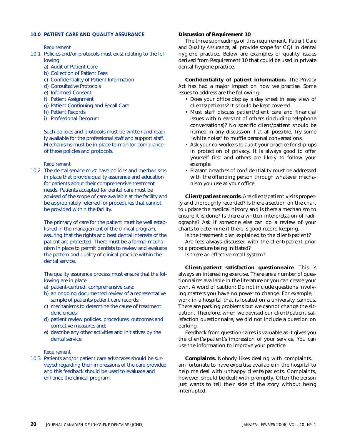### **10.0 PATIENT CARE AND QUALITY ASSURANCE**

#### *Requirement*

- 10.1 Policies and/or protocols must exist relating to the following:
	- a) Audit of Patient Care
	- b) Collection of Patient Fees
	- c) Confidentiality of Patient Information
	- d) Consultative Protocols
	- e) Informed Consent
	- f) Patient Assignment
	- g) Patient Continuing and Recall Care
	- h) Patient Records
	- i) Professional Decorum

Such policies and protocols must be written and readily available for the professional staff and support staff. Mechanisms must be in place to monitor compliance of these policies and protocols.

### *Requirement*

10.2 The dental service must have policies and mechanisms in place that provide quality assurance and education for patients about their comprehensive treatment needs. Patients accepted for dental care must be advised of the scope of care available at the facility and be appropriately referred for procedures that cannot be provided within the facility.

The primacy of care for the patient must be well established in the management of the clinical program, assuring that the rights and best dental interests of the patient are protected. There must be a formal mechanism in place to permit dentists to review and evaluate the pattern and quality of clinical practice within the dental service.

The quality assurance process must ensure that the following are in place:

- a) patient-centred, comprehensive care;
- b) an ongoing documented review of a representative sample of patients/patient care records;
- c) mechanisms to determine the cause of treatment deficiencies;
- d) patient review policies, procedures, outcomes and corrective measures and;
- e) describe any other activities and initiatives by the dental service.

### *Requirement*

10.3 Patients and/or patient care advocates should be surveyed regarding their impressions of the care provided and this feedback should be used to evaluate and enhance the clinical program.

### *Discussion of Requirement 10*

The three subheadings of this requirement, *Patient Care and Quality Assurance*, all provide scope for CQI in dental hygiene practice. Below are examples of quality issues derived from Requirement 10 that could be used in private dental hygiene practice.

**Confidentiality of patient information.** The *Privacy Act* has had a major impact on how we practise. Some issues to address are the following:

- Does your office display a day sheet in easy view of clients/patients? It should be kept covered.
- Must staff discuss patient/client care and financial issues within earshot of others (including telephone conversations)? No specific client/patient should be named in any discussion if at all possible. Try some "white noise" to muffle personal conversations.
- Ask your co-workers to audit your practice for slip-ups in protection of privacy. It is always good to offer yourself first and others are likely to follow your example.
- Blatant breaches of confidentiality must be addressed with the offending person through whatever mechanism you use at your office.

**Client/patient records.** Are client/patient visits properly and thoroughly recorded? Is there a section on the chart to update the medical history and is there a mechanism to ensure it is done? Is there a written interpretation of radiographs? Ask if someone else can do a review of your charts to determine if there is good record keeping.

Is the treatment plan explained to the client/patient?

Are fees always discussed with the client/patient prior to a procedure being initiated?

Is there an effective recall system?

**Client/patient satisfaction questionnaire**. This is always an interesting exercise. There are a number of questionnaires available in the literature or you can create your own. A word of caution: Do not include questions involving matters you have no power to change. For example, I work in a hospital that is located on a university campus. There are parking problems but we cannot change the situation. Therefore, when we devised our client/patient satisfaction questionnaire, we did not include a question on parking.

Feedback from questionnaires is valuable as it gives you the client's/patient's impression of your service. You can use the information to improve your practice.

**Complaints.** Nobody likes dealing with complaints. I am fortunate to have expertise available in the hospital to help me deal with unhappy clients/patients. Complaints, however, should be dealt with promptly. Often the person just wants to tell their side of the story without being interrupted.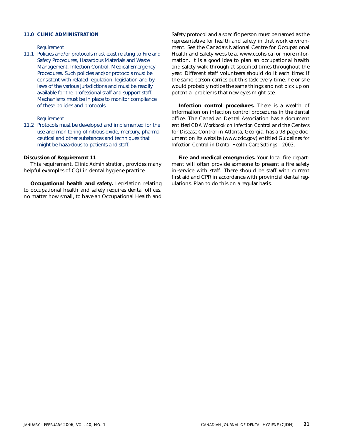### **11.0 CLINIC ADMINISTRATION**

### *Requirement*

11.1 Policies and/or protocols must exist relating to Fire and Safety Procedures, Hazardous Materials and Waste Management, Infection Control, Medical Emergency Procedures. Such policies and/or protocols must be consistent with related regulation, legislation and bylaws of the various jurisdictions and must be readily available for the professional staff and support staff. Mechanisms must be in place to monitor compliance of these policies and protocols.

*Requirement*

11.2 Protocols must be developed and implemented for the use and monitoring of nitrous oxide, mercury, pharmaceutical and other substances and techniques that might be hazardous to patients and staff.

### *Discussion of Requirement 11*

This requirement, *Clinic Administration*, provides many helpful examples of CQI in dental hygiene practice.

**Occupational health and safety.** Legislation relating to occupational health and safety requires dental offices, no matter how small, to have an Occupational Health and Safety protocol and a specific person must be named as the representative for health and safety in that work environment. See the Canada's National Centre for Occupational Health and Safety website at www.ccohs.ca for more information. It is a good idea to plan an occupational health and safety walk-through at specified times throughout the year. Different staff volunteers should do it each time; if the same person carries out this task every time, he or she would probably notice the same things and not pick up on potential problems that new eyes might see.

**Infection control procedures.** There is a wealth of information on infection control procedures in the dental office. The Canadian Dental Association has a document entitled *CDA Workbook on Infection Control* and the Centers for Disease Control in Atlanta, Georgia, has a 98-page document on its website (www.cdc.gov) entitled *Guidelines for Infection Control in Dental Health Care Settings—2003*.

**Fire and medical emergencies.** Your local fire department will often provide someone to present a fire safety in-service with staff. There should be staff with current first aid and CPR in accordance with provincial dental regulations. Plan to do this on a regular basis.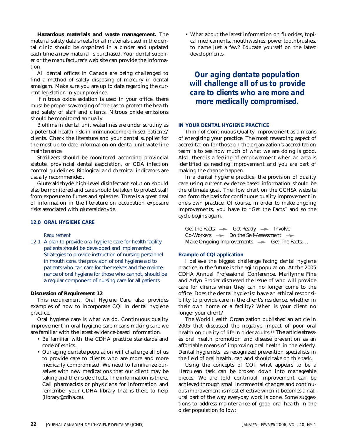**Hazardous materials and waste management.** The material safety data sheets for all materials used in the dental clinic should be organized in a binder and updated each time a new material is purchased. Your dental supplier or the manufacturer's web site can provide the information.

All dental offices in Canada are being challenged to find a method of safely disposing of mercury in dental amalgam. Make sure you are up to date regarding the current legislation in your province.

If nitrous oxide sedation is used in your office, there must be proper scavenging of the gas to protect the health and safety of staff and clients. Nitrous oxide emissions should be monitored annually.

Biofilms in dental unit waterlines are under scrutiny as a potential health risk in immunocompromised patients/ clients. Check the literature and your dental supplier for the most up-to-date information on dental unit waterline maintenance.

Sterilizers should be monitored according provincial statute, provincial dental association, or CDA infection control guidelines. Biological and chemical indicators are usually recommended.

Gluteraldehyde high-level disinfectant solution should also be monitored and care should be taken to protect staff from exposure to fumes and splashes. There is a great deal of information in the literature on occupation exposure risks associated with gluteraldehyde.

### **12.0 ORAL HYGIENE CARE**

*Requirement*

12.1 A plan to provide oral hygiene care for health facility patients should be developed and implemented. Strategies to provide instruction of nursing personnel in mouth care, the provision of oral hygiene aid to patients who can care for themselves and the maintenance of oral hygiene for those who cannot, should be a regular component of nursing care for all patients.

### *Discussion of Requirement 12*

This requirement, *Oral Hygiene Care,* also provides examples of how to incorporate CQI in dental hygiene practice.

Oral hygiene care is what we do. Continuous quality improvement in oral hygiene care means making sure we are familiar with the latest evidence-based information.

- Be familiar with the CDHA practice standards and code of ethics.
- Our aging dentate population will challenge all of us to provide care to clients who are more and more medically compromised. We need to familiarize ourselves with new medications that our client may be taking and their side effects. The information is there. Call pharmacists or physicians for information and remember your CDHA library that is there to help (library@cdha.ca).

• What about the latest information on fluorides, topical medicaments, mouthwashes, power toothbrushes, to name just a few? Educate yourself on the latest developments.

*Our aging dentate population will challenge all of us to provide care to clients who are more and more medically compromised.*

### **IN YOUR DENTAL HYGIENE PRACTICE**

Think of Continuous Quality Improvement as a means of energizing your practice. The most rewarding aspect of accreditation for those on the organization's accreditation team is to see how much of what we are doing is good. Also, there is a feeling of empowerment when an area is identified as needing improvement and you are part of making the change happen.

In a dental hygiene practice, the provision of quality care using current evidence-based information should be the ultimate goal. The flow chart on the CCHSA website can form the basis for continuous quality improvement in one's own practice. Of course, in order to make ongoing improvements, you have to "Get the Facts" and so the cycle begins again.

Get the Facts  $\rightarrow$  Get Ready  $\rightarrow$  Involve  $Co-Workers$   $\longrightarrow$  Do the Self-Assessment  $\longrightarrow$ Make Ongoing Improvements  $\longrightarrow$  Get The Facts....

### **Example of CQI application**

I believe the biggest challenge facing dental hygiene practice in the future is the aging population. At the 2005 CDHA Annual Professional Conference, Marilynne Fine and Arlyn Broder discussed the issue of who will provide care for clients when they can no longer come to the office. Does the dental hygienist have an ethical responsibility to provide care in the client's residence, whether in their own home or a facility? When is your client no longer your client?

The World Health Organization published an article in 2005 that discussed the negative impact of poor oral health on quality of life in older adults.<sup>11</sup> The article stresses oral health promotion and disease prevention as an affordable means of improving oral health in the elderly. Dental hygienists, as recognized prevention specialists in the field of oral health, can and should take on this task.

Using the concepts of CQI, what appears to be a Herculean task can be broken down into manageable pieces. We are told continual improvement can be achieved through small incremental changes and continuous improvement is most effective when it becomes a natural part of the way everyday work is done. Some suggestions to address maintenance of good oral health in the older population follow: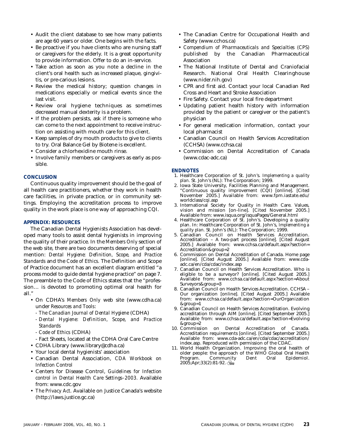- Audit the client database to see how many patients are age 60 years or older. One begins with the facts.
- Be proactive if you have clients who are nursing staff or caregivers for the elderly. It is a great opportunity to provide information. Offer to do an in-service.
- Take action as soon as you note a decline in the client's oral health such as increased plaque, gingivitis, or pre-carious lesions.
- Review the medical history; question changes in medications especially or medical events since the last visit.
- Review oral hygiene techniques as sometimes decreased manual dexterity is a problem.
- If the problem persists, ask if there is someone who can come to the next appointment to receive instruction on assisting with mouth care for this client.
- Keep samples of dry mouth products to give to clients to try. Oral Balance Gel by Biotene is excellent.
- Consider a chlorhexidine mouth rinse.
- Involve family members or caregivers as early as possible.

### **CONCLUSION**

Continuous quality improvement should be the goal of all health care practitioners, whether they work in health care facilities, in private practice, or in community settings. Employing the accreditation process to improve quality in the work place is one way of approaching CQI.

### **APPENDIX: RESOURCES**

The Canadian Dental Hygienists Association has developed many tools to assist dental hygienists in improving the quality of their practice. In the *Members Only* section of the web site, there are two documents deserving of special mention: *Dental Hygiene: Definition, Scope, and Practice Standards* and the *Code of Ethics.* The Definition and Scope of Practice document has an excellent diagram entitled "a process model to guide dental hygiene practice" on page 7. The preamble to the Code of Ethics states that the "profession… is devoted to promoting optimal oral health for all."

- On CDHA's *Members Only* web site (www.cdha.ca) under *Resources and Tools*:
	- *The Canadian Journal of Dental Hygiene* (CDHA)
	- *Dental Hygiene: Definition, Scope, and Practice Standards*
	- *Code of Ethics* (CDHA)
- Fact Sheets, located at the CDHA Oral Care Centre
- CDHA Library (www.library@cdha.ca)
- Your local dental hygienists' association
- Canadian Dental Association, *CDA Workbook on Infection Control*
- Centers for Disease Control, *Guidelines for Infection control in Dental Health Care Settings–2003.* Available from: www.cdc.gov
- *The Privacy Act*. Available on Justice Canada's website (http://laws.justice.gc.ca)
- The Canadian Centre for Occupational Health and Safety (www.cchos.ca)
- *Compendium of Pharmaceuticals and Specialties (CPS)* published by the Canadian Pharmaceutical Association
- The National Institute of Dental and Craniofacial Research. National Oral Health Clearinghouse (www.nider.nih.gov)
- CPR and first aid. Contact your local Canadian Red Cross and Heart and Stroke Association
- Fire Safety. Contact your local fire department
- Updating patient health history with information provided by the patient or caregiver or the patient's physician
- For general medication information, contact your local pharmacist
- Canadian Council on Health Services Accreditation (CCHSA) (www.cchsa.ca)
- Commission on Dental Accreditation of Canada (www.cdac-adc.ca)

### **ENDNOTES**

- 1. Healthcare Corporation of St. John's. *Implementing a quality* plan. St. John's (NL): The Corporation; 1999.
- 2. Iowa State University, Facilities Planning and Management. "Continuous quality improvement (CQI) [online]. [Cited November 2005.] Available from: www.fpm.iastate.edu/ worldclass/cqi.asp
- 3. International Society for Quality in Health Care. Values, vision and mission [on-line]. [Cited November 2005.] Available from: www.isqua.org/isquaPages/General.html
- 4. Healthcare Corporation of St. John's. Developing a quality plan. In: Healthcare Corporation of St. John's, *Implementing a quality plan.* St. John's (NL): The Corporation; 1999.
- 5. Canadian Council on Health Services Accreditation. Accreditation – A two-part process [online]. [Cited August 2005.] Available from: www.cchsa.ca/default.aspx?section= Accreditation&group=2
- 6. Commission on Dental Accreditation of Canada. Home page [online]. [Cited August 2005.] Available from: www.cdaadc.ca/en/cda/cdac/index.asp
- 7. Canadian Council on Health Services Accreditation. Who is eligible to be a surveyor? [online]. [Cited August 2005.] Available from: www.cchsa.ca/default.aspx?section=About Surveyors&group=3
- 8. Canadian Council on Health Services Accreditation. CCHSA Our organization [online]. [Cited August 2005.] Available from: www.cchsa.ca/default.aspx?section=OurOrganization &group=1
- 9. Canadian Council on Health Services Accreditation. Evolving accreditation through AIM [online]. [Cited September 2005.] Available from: www.cchsa.ca/default.aspx?section=Evolving &group=2
- 10. Commission on Dental Accreditation of Canada. Accreditation requirements [online]. [Cited September 2005.] Available from: www.cda-adc.ca/en/cda/cdac/accreditation/ index.asp. Reproduced with permission of the CDAC.
- 11. World Health Organization. Improving the oral health of older people: the approach of the WHO Global Oral Health<br>Program. Community Dent Oral Epidemiol. Community  $2005$ ;Apr;33(2):81-92.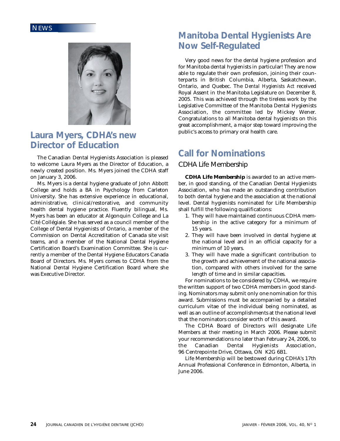

### **Laura Myers, CDHA's new Director of Education**

The Canadian Dental Hygienists Association is pleased to welcome Laura Myers as the Director of Education, a newly created position. Ms. Myers joined the CDHA staff on January 3, 2006.

Ms. Myers is a dental hygiene graduate of John Abbott College and holds a BA in Psychology from Carleton University. She has extensive experience in educational, administrative, clinical/restorative, and community health dental hygiene practice. Fluently bilingual, Ms. Myers has been an educator at Algonquin College and La Cité Collégiale. She has served as a council member of the College of Dental Hygienists of Ontario, a member of the Commission on Dental Accreditation of Canada site visit teams, and a member of the National Dental Hygiene Certification Board's Examination Committee. She is currently a member of the Dental Hygiene Educators Canada Board of Directors. Ms. Myers comes to CDHA from the National Dental Hygiene Certification Board where she was Executive Director.

### **Manitoba Dental Hygienists Are Now Self-Regulated**

Very good news for the dental hygiene profession and for Manitoba dental hygienists in particular! They are now able to regulate their own profession, joining their counterparts in British Columbia, Alberta, Saskatchewan, Ontario, and Quebec. The *Dental Hygienists Act* received Royal Assent in the Manitoba Legislature on December 8, 2005. This was achieved through the tireless work by the Legislative Committee of the Manitoba Dental Hygienists Association, the committee led by Mickey Wener. Congratulations to all Manitoba dental hygienists on this great accomplishment, a major step toward improving the public's access to primary oral health care.

### **Call for Nominations**

### CDHA Life Membership

**CDHA Life Membership** is awarded to an active member, in good standing, of the Canadian Dental Hygienists Association, who has made an outstanding contribution to both dental hygiene and the association at the national level. Dental hygienists nominated for Life Membership shall fulfill the following qualifications:

- 1. They will have maintained continuous CDHA membership in the active category for a minimum of 15 years.
- 2. They will have been involved in dental hygiene at the national level and in an official capacity for a minimum of 10 years.
- 3. They will have made a significant contribution to the growth and achievement of the national association, compared with others involved for the same length of time and in similar capacities.

For nominations to be considered by CDHA, we require the written support of two CDHA members in good standing. Nominators may submit only one nomination for this award. Submissions must be accompanied by a detailed curriculum vitae of the individual being nominated, as well as an outline of accomplishments at the national level that the nominators consider worth of this award.

The CDHA Board of Directors will designate Life Members at their meeting in March 2006. Please submit your recommendations no later than February 24, 2006, to the Canadian Dental Hygienists Association, 96 Centrepointe Drive, Ottawa, ON K2G 6B1.

Life Membership will be bestowed during CDHA's 17th Annual Professional Conference in Edmonton, Alberta, in June 2006.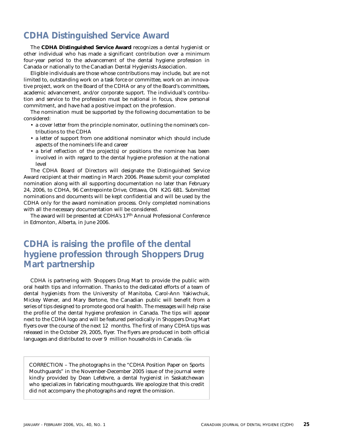### **CDHA Distinguished Service Award**

The **CDHA Distinguished Service Award** recognizes a dental hygienist or other individual who has made a significant contribution over a minimum four-year period to the advancement of the dental hygiene profession in Canada or nationally to the Canadian Dental Hygienists Association.

Eligible individuals are those whose contributions may include, but are not limited to, outstanding work on a task force or committee, work on an innovative project, work on the Board of the CDHA or any of the Board's committees, academic advancement, and/or corporate support. The individual's contribution and service to the profession must be national in focus, show personal commitment, and have had a positive impact on the profession.

The nomination must be supported by the following documentation to be considered:

- a cover letter from the principle nominator, outlining the nominee's contributions to the CDHA
- a letter of support from one additional nominator which should include aspects of the nominee's life and career
- a brief reflection of the project(s) or positions the nominee has been involved in with regard to the dental hygiene profession at the national level

The CDHA Board of Directors will designate the Distinguished Service Award recipient at their meeting in March 2006. Please submit your completed nomination along with all supporting documentation no later than February 24, 2006, to CDHA, 96 Centrepointe Drive, Ottawa, ON K2G 6B1. Submitted nominations and documents will be kept confidential and will be used by the CDHA only for the award nomination process. Only completed nominations with all the necessary documentation will be considered.

The award will be presented at CDHA's 17th Annual Professional Conference in Edmonton, Alberta, in June 2006.

### **CDHA is raising the profile of the dental hygiene profession through Shoppers Drug Mart partnership**

CDHA is partnering with Shoppers Drug Mart to provide the public with oral health tips and information. Thanks to the dedicated efforts of a team of dental hygienists from the University of Manitoba, Carol-Ann Yakiwchuk, Mickey Wener, and Mary Bertone, the Canadian public will benefit from a series of tips designed to promote good oral health. The messages will help raise the profile of the dental hygiene profession in Canada. The tips will appear next to the CDHA logo and will be featured periodically in Shoppers Drug Mart flyers over the course of the next 12 months. The first of many CDHA tips was released in the October 29, 2005, flyer. The flyers are produced in both official languages and distributed to over 9 million households in Canada.

CORRECTION – The photographs in the "CDHA Position Paper on Sports Mouthguards" in the November-December 2005 issue of the journal were kindly provided by Dean Lefebvre, a dental hygienist in Saskatchewan who specializes in fabricating mouthguards. We apologize that this credit did not accompany the photographs and regret the omission.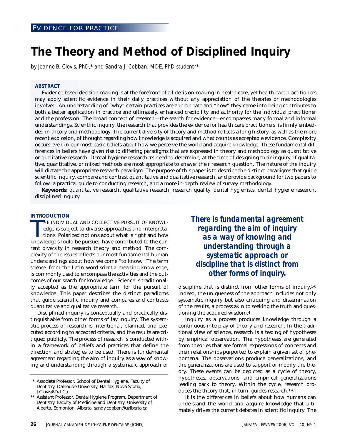### **The Theory and Method of Disciplined Inquiry**

*by Joanne B. Clovis, PhD,\* and Sandra J. Cobban, MDE, PhD student\*\**

#### **ABSTRACT**

Evidence-based decision making is at the forefront of all decision-making in health care, yet health care practitioners may apply scientific evidence in their daily practices without any appreciation of the theories or methodologies involved. An understanding of "why" certain practices are appropriate and "how" they came into being contributes to both a better application in practice and ultimately, enhanced credibility and authority for the individual practitioner and the profession. The broad concept of research—the search for evidence—encompasses many formal and informal understandings. Scientific inquiry, the research that provides the evidence for health care practitioners, is firmly embedded in theory and methodology. The current diversity of theory and method reflects a long history, as well as the more recent explosion, of thought regarding how knowledge is acquired and what counts as acceptable evidence. Complexity occurs even in our most basic beliefs about how we perceive the world and acquire knowledge. These fundamental differences in beliefs have given rise to differing paradigms that are expressed in theory and methodology as quantitative or qualitative research. Dental hygiene researchers need to determine, at the time of designing their inquiry, if qualitative, quantitative, or mixed methods are most appropriate to answer their research question. The nature of the inquiry will dictate the appropriate research paradigm. The purpose of this paper is to describe the distinct paradigms that guide scientific inquiry, compare and contrast quantitative and qualitative research, and provide background for two papers to follow: a practical guide to conducting research, and a more in-depth review of survey methodology.

**Keywords**: quantitative research, qualitative research, research quality, dental hygienists, dental hygiene research, disciplined inquiry

#### **INTRODUCTION**

HE INDIVIDUAL AND COLLECTIVE PURSUIT OF KNOWL-<br>edge is subject to diverse approaches and interpreta-<br>tions. Polarized notions about what is right and how<br>knowledge should be pursued have contributed to the cur-HE INDIVIDUAL AND COLLECTIVE PURSUIT OF KNOWLedge is subject to diverse approaches and interpretations. Polarized notions about what is right and how rent diversity in research theory and method. The complexity of the issues reflects our most fundamental human understandings about how we come "to know." The term *science,* from the Latin word *scientia* meaning knowledge, is commonly used to encompass the activities and the outcomes of our search for knowledge.1 Science is traditionally accepted as the appropriate term for the pursuit of knowledge. This paper describes the distinct paradigms that guide scientific inquiry and compares and contrasts quantitative and qualitative research.

Disciplined inquiry is conceptually and practically distinguishable from other forms of lay inquiry. The systematic process of research is intentional, planned, and executed according to accepted criteria, and the results are critiqued publicly. The process of research is conducted within a framework of beliefs and practices that define the direction and strategies to be used. There is fundamental agreement regarding the aim of inquiry as a way of knowing and understanding through a systematic approach or *There is fundamental agreement regarding the aim of inquiry as a way of knowing and understanding through a systematic approach or discipline that is distinct from other forms of inquiry.*

discipline that is distinct from other forms of inquiry.1-6 Indeed, the uniqueness of the approach includes not only systematic inquiry but also critiquing and dissemination of the results, a process akin to seeking the truth and questioning the acquired wisdom.4

Inquiry as a process produces knowledge through a continuous interplay of theory and research. In the traditional view of science, research is a testing of hypotheses by empirical observation. The hypotheses are generated from theories that are formal expressions of concepts and their relationships purported to explain a given set of phenomena. The observations produce generalizations, and the generalizations are used to support or modify the theory. These events can be depicted as a cycle of theory, hypotheses, observations, and empirical generalizations leading back to theory. Within the cycle, research produces the theory that, in turn, guides research.<sup>1,4,5</sup>

It is the differences in beliefs about how humans can understand the world and acquire knowledge that ultimately drives the current debates in scientific inquiry. The

<sup>\*</sup> Associate Professor, School of Dental Hygiene, Faculty of Dentistry, Dalhousie University, Halifax, Nova Scotia; J.Clovis@Dal.Ca

<sup>\*\*</sup> Assistant Professor, Dental Hygiene Program, Department of Dentistry, Faculty of Medicine and Dentistry, University of Alberta, Edmonton, Alberta; sandy.cobban@ualberta.ca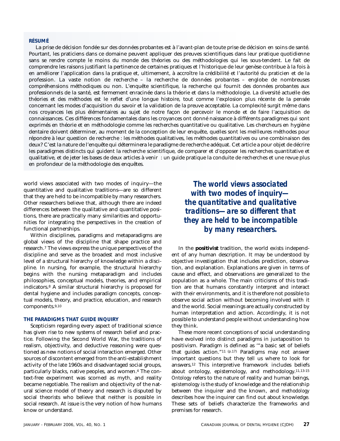### **RÉSUMÉ**

La prise de décision fondée sur des données probantes est à l'avant-plan de toute prise de décision en soins de santé. Pourtant, les praticiens dans ce domaine peuvent appliquer des preuves scientifiques dans leur pratique quotidienne sans se rendre compte le moins du monde des théories ou des méthodologies qui les sous-tendent. Le fait de comprendre les raisons justifiant la pertinence de certaines pratiques et l'historique de leur genèse contribue à la fois à en améliorer l'application dans la pratique et, ultimement, à accroître la crédibilité et l'autorité du praticien et de la profession. La vaste notion de recherche – la recherche de données probantes – englobe de nombreuses compréhensions méthodiques ou non. L'enquête scientifique, la recherche qui fournit des données probantes aux professionnels de la santé, est fermement enracinée dans la théorie et dans la méthodologie. La diversité actuelle des théories et des méthodes est le reflet d'une longue histoire, tout comme l'explosion plus récente de la pensée concernant les modes d'acquisition du savoir et la validation de la preuve acceptable. La complexité surgit même dans nos croyances les plus élémentaires au sujet de notre façon de percevoir le monde et de faire l'acquisition de connaissances. Ces différences fondamentales dans les croyances ont donné naissance à différents paradigmes qui sont exprimés en théorie et en méthodologie comme les recherches quantitative ou qualitative. Les chercheurs en hygiène dentaire doivent déterminer, au moment de la conception de leur enquête, quelles sont les meilleures méthodes pour répondre à leur question de recherche : les méthodes qualitatives, les méthodes quantitatives ou une combinaison des deux? C'est la nature de l'enquête qui déterminera le paradigme de recherche adéquat. Cet article a pour objet de décrire les paradigmes distincts qui guident la recherche scientifique, de comparer et d'opposer les recherches quantitative et qualitative, et de jeter les bases de deux articles à venir : un guide pratique la conduite de recherches et une revue plus en profondeur de la méthodologie des enquêtes.

world views associated with two modes of inquiry—the quantitative and qualitative traditions—are so different that they are held to be incompatible by many researchers. Other researchers believe that, although there are indeed differences between the qualitative and quantitative positions, there are practically many similarities and opportunities for integrating the perspectives in the creation of functional partnerships.

Within disciplines, paradigms and metaparadigms are global views of the discipline that shape practice and research.7 The views express the unique perspectives of the discipline and serve as the broadest and most inclusive level of a structural hierarchy of knowledge within a discipline. In nursing, for example, the structural hierarchy begins with the nursing metaparadigm and includes philosophies, conceptual models, theories, and empirical indicators.8 A similar structural hierarchy is proposed for dental hygiene and includes paradigm concepts, conceptual models, theory, and practice, education, and research components.9,10

### **THE PARADIGMS THAT GUIDE INQUIRY**

Scepticism regarding every aspect of traditional science has given rise to new systems of research belief and practice. Following the Second World War, the traditions of realism, objectivity, and deductive reasoning were questioned as new notions of social interaction emerged. Other sources of discontent emerged from the anti-establishment activity of the late 1960s and disadvantaged social groups, particularly blacks, native peoples, and women.4 The context-free experiment was scorned as myth, and reality became negotiable. The realism and objectivity of the natural science model of theory and research is disputed by social theorists who believe that neither is possible in social research. At issue is the very notion of how humans know or understand.

*The world views associated with two modes of inquiry the quantitative and qualitative traditions—are so different that they are held to be incompatible by many researchers.*

In the **positivist** tradition, the world exists independent of any human description. It may be understood by objective investigation that includes prediction, observation, and explanation. Explanations are given in terms of cause and effect, and observations are generalized to the population as a whole. The main criticisms of this tradition are that humans constantly interpret and interact with their environments, and it is therefore not possible to observe social action without becoming involved with it and the world. Social meanings are actually constructed by human interpretation and action. Accordingly, it is not possible to understand people without understanding how they think.

These more recent conceptions of social understanding have evolved into distinct paradigms in juxtaposition to positivism. Paradigm is defined as '"a basic set of beliefs that guides action."11 (p.17) Paradigms may not answer important questions but they tell us where to look for answers.12 This interpretive framework includes beliefs about ontology, epistemology, and methodology.11,13-15 *Ontology* refers to the nature of reality and human beings, *epistemology* is the study of knowledge and the relationship between the inquirer and the known, and *methodology* describes how the inquirer can find out about knowledge. These sets of beliefs characterize the frameworks and premises for research.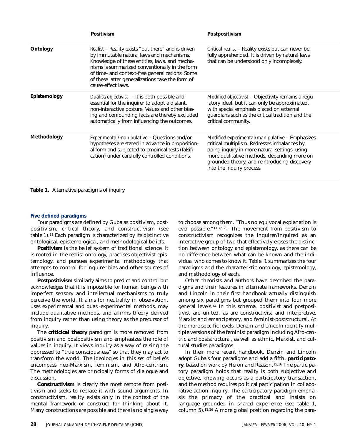|              | Positivism                                                                                                                                                                                                                                                                                                                             | Postpositivism                                                                                                                                                                                                                                                               |
|--------------|----------------------------------------------------------------------------------------------------------------------------------------------------------------------------------------------------------------------------------------------------------------------------------------------------------------------------------------|------------------------------------------------------------------------------------------------------------------------------------------------------------------------------------------------------------------------------------------------------------------------------|
| Ontology     | <i>Realist</i> – Reality exists "out there" and is driven<br>by immutable natural laws and mechanisms.<br>Knowledge of these entities, laws, and mecha-<br>nisms is summarized conventionally in the form<br>of time- and context-free generalizations. Some<br>of these latter generalizations take the form of<br>cause-effect laws. | Critical realist - Reality exists but can never be<br>fully apprehended. It is driven by natural laws<br>that can be understood only incompletely.                                                                                                                           |
| Epistemology | Dualist/objectivist - It is both possible and<br>essential for the inquirer to adopt a distant,<br>non-interactive posture. Values and other bias-<br>ing and confounding facts are thereby excluded<br>automatically from influencing the outcomes.                                                                                   | Modified objectivist – Objectivity remains a requ-<br>latory ideal, but it can only be approximated,<br>with special emphasis placed on external<br>guardians such as the critical tradition and the<br>critical community.                                                  |
| Methodology  | Experimental/manipulative - Questions and/or<br>hypotheses are stated in advance in proposition-<br>al form and subjected to empirical tests (falsifi-<br>cation) under carefully controlled conditions.                                                                                                                               | Modified experimental/manipulative – Emphasizes<br>critical multiplism. Redresses imbalances by<br>doing inquiry in more natural settings, using<br>more qualitative methods, depending more on<br>grounded theory, and reintroducing discovery<br>into the inquiry process. |

**Table 1.** Alternative paradigms of inquiry

### **Five defined paradigms**

Four paradigms are defined by Guba as positivism, postpositivism, critical theory, and constructivism (see table 1).11 Each paradigm is characterized by its distinctive ontological, epistemological, and methodological beliefs.

*Positivism* is the belief system of traditional science. It is rooted in the realist ontology, practises objectivist epistemology, and pursues experimental methodology that attempts to control for inquirer bias and other sources of influence.

*Postpositivism* similarly aims to predict and control but acknowledges that it is impossible for human beings with imperfect sensory and intellectual mechanisms to truly perceive the world. It aims for neutrality in observation, uses experimental and quasi-experimental methods, may include qualitative methods, and affirms theory derived from inquiry rather than using theory as the precursor of inquiry.

The *criticical theory* paradigm is more removed from positivism and postpositivism and emphasizes the role of values in inquiry. It views inquiry as a way of raising the oppressed to "true consciousness" so that they may act to transform the world. The ideologies in this set of beliefs encompass neo-Marxism, feminism, and Afro-centrism. The methodologies are principally forms of dialogue and discussion.

*Constructivism* is clearly the most remote from positivism and seeks to replace it with sound arguments. In constructivism, reality exists only in the context of the mental framework or construct for thinking about it. Many constructions are possible and there is no single way to choose among them. "Thus no equivocal explanation is ever possible."11 (p.25) The movement from positivism to constructivism recognizes the inquirer/inquired as an interactive group of two that effectively erases the distinction between ontology and epistemology, as there can be no difference between what can be known and the individual who comes to know it. Table 1 summarizes the four paradigms and the characteristic ontology, epistemology, and methodology of each.

Other theorists and authors have described the paradigms and their features in alternate frameworks. Denzin and Lincoln in their first handbook actually distinguish among six paradigms but grouped them into four more general levels.14 In this schema, positivist and postpositivist are united, as are constructivist and interpretive, Marxist and emancipatory, and feminist-poststructural. At the more specific levels, Denzin and Lincoln identify multiple versions of the feminist paradigm including Afro-centric and poststructural, as well as ethnic, Marxist, and cultural studies paradigms.

In their more recent handbook, Denzin and Lincoln adopt Guba's four paradigms and add a fifth, *participatory*, based on work by Heron and Reason.15,16 The participatory paradigm holds that reality is both subjective and objective, knowing occurs as a participatory transaction, and the method requires political participation in collaborative action inquiry. The participatory paradigm emphasis the primacy of the practical and insists on language grounded in shared experience (see table 1, column 5).11,16 A more global position regarding the para-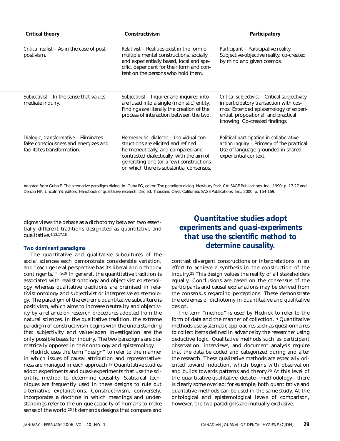| <b>Critical theory</b>                                                                                        | Constructivism                                                                                                                                                                                                                                           | Participatory                                                                                                                                                                                             |
|---------------------------------------------------------------------------------------------------------------|----------------------------------------------------------------------------------------------------------------------------------------------------------------------------------------------------------------------------------------------------------|-----------------------------------------------------------------------------------------------------------------------------------------------------------------------------------------------------------|
| Critical realist – As in the case of post-<br>postivism.                                                      | <i>Relativist</i> – Realities exist in the form of<br>multiple mental constructions, socially<br>and experientially based, local and spe-<br>cific, dependent for their form and con-<br>tent on the persons who hold them.                              | Participant - Participative reality.<br>Subjective-objective reality, co-created<br>by mind and given cosmos.                                                                                             |
| Subjectivist - In the sense that values<br>mediate inquiry.                                                   | Subjectivist - Inquirer and inquired into<br>are fused into a single (monistic) entity.<br>Findings are literally the creation of the<br>process of interaction between the two.                                                                         | Critical subjectivist - Critical subjectivity<br>in participatory transaction with cos-<br>mos. Extended epistemology of experi-<br>ential, propositional, and practical<br>knowing. Co-created findings. |
| Dialogic, transformative - Eliminates<br>false consciousness and energizes and<br>facilitates transformation. | Hermeneutic, dialectic - Individual con-<br>structions are elicited and refined<br>hermeneutically, and compared and<br>contrasted dialectically, with the aim of<br>generating one (or a few) constructions<br>on which there is substantial consensus. | Political participation in collaborative<br>action inquiry - Primacy of the practical.<br>Use of language grounded in shared<br>experiential context.                                                     |

Adapted from Guba E. The alternative paradigm dialog. In: Guba EG, editor. The paradigm dialog. Newbury Park, CA: SAGE Publications, Inc.; 1990: p. 17-27 and Denzin NK, Lincoln YS, editors. Handbook of qualitative research. 2nd ed. Thousand Oaks, California: SAGE Publications, Inc.; 2000: p. 164-169.

digms views the debate as a dichotomy between two essentially different traditions designated as quantitative and qualitative.4,13,17,18

### **Two dominant paradigms**

The quantitative and qualitative subcultures of the social sciences each demonstrate considerable variation, and "each general perspective has its liberal and orthodox contingents." $4(p.3)$  In general, the quantitative tradition is associated with realist ontology and objectivist epistemology whereas qualitative traditions are premised in relativist ontology and subjectivist or interpretive epistemology. The paradigm of the extreme quantitative subculture is positivism, which aims to increase neutrality and objectivity by a reliance on research procedures adopted from the natural sciences. In the qualitative tradition, the extreme paradigm of constructivism begins with the understanding that subjectivity and value-laden investigation are the only possible bases for inquiry. The two paradigms are diametrically opposed in their ontology and epistemology.

Hedrick uses the term "design" to refer to the manner in which issues of causal attribution and representativeness are managed in each approach.19 Quantitative studies adopt experiments and quasi-experiments that use the scientific method to determine causality. Statistical techniques are frequently used in these designs to rule out alternative explanations. Constructivism, conversely, incorporates a doctrine in which meanings and understandings refer to the unique capacity of humans to make sense of the world.20 It demands designs that compare and

### *Quantitative studies adopt experiments and quasi-experiments that use the scientific method to determine causality.*

contrast divergent constructions or interpretations in an effort to achieve a synthesis in the construction of the inquiry.21 This design values the reality of all stakeholders equally. Conclusions are based on the consensus of the participants and causal explanations may be derived from the consensus regarding perceptions. These demonstrate the extremes of dichotomy in quantitative and qualitative design.

The term "method" is used by Hedrick to refer to the form of data and the manner of collection.19 Quantitative methods use systematic approaches such as questionnaires to collect items defined in advance by the researcher using deductive logic. Qualitative methods such as participant observation, interviews, and document analysis require that the data be coded and categorized during and after the research. These qualitative methods are especially oriented toward induction, which begins with observation and builds towards patterns and theory.20 At this level of the quantitative-qualitative debate—methodology—there is clearly some overlap; for example, both quantitative and qualitative methods can be used in the same study. At the ontological and epistemological levels of comparison, however, the two paradigms are mutually exclusive.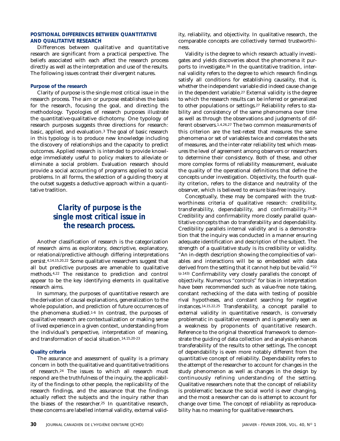### **POSITIONAL DIFFERENCES BETWEEN QUANTITATIVE AND QUALITATIVE RESEARCH**

Differences between qualitative and quantitative research are significant from a practical perspective. The beliefs associated with each affect the research process directly as well as the interpretation and use of the results. The following issues contrast their divergent natures.

### **Purpose of the research**

Clarity of purpose is the single most critical issue in the research process. The aim or purpose establishes the basis for the research, focusing the goal, and directing the methodology. Typologies of research purposes illustrate the quantitative-qualitative dichotomy. One typology of research purposes suggests three directions for research: basic, applied, and evaluation.3 The goal of basic research in this typology is to produce new knowledge including the discovery of relationships and the capacity to predict outcomes. Applied research is intended to provide knowledge immediately useful to policy makers to alleviate or eliminate a social problem. Evaluation research should provide a social accounting of programs applied to social problems. In all forms, the selection of a guiding theory at the outset suggests a deductive approach within a quantitative tradition.

### *Clarity of purpose is the single most critical issue in the research process.*

Another classification of research is the categorization of research aims as exploratory, descriptive, explanatory, or relational/predictive although differing interpretations persist.4,14,15,20,22 Some qualitative researchers suggest that all but predictive purposes are amenable to qualitative methods.4,22 The resistance to prediction and control appear to be the key identifying elements in qualitative research aims.

In summary, the purposes of quantitative research are the derivation of causal explanations, generalization to the whole population, and prediction of future occurrences of the phenomena studied.<sup>1-6</sup> In contrast, the purposes of qualitative research are contextualization or making sense of lived experience in a given context, understanding from the individual's perspective, interpretation of meaning, and transformation of social situation.14,15,20-23

#### **Quality criteria**

The assurance and assessment of quality is a primary concern in both the qualitative and quantitative traditions of research.24 The issues to which all research must respond are the truthfulness of the inquiry, the applicability of the findings to other people, the replicability of the research findings, and the assurance that the findings actually reflect the subjects and the inquiry rather than the biases of the researcher.25 In quantitative research, these concerns are labelled internal validity, external validity, reliability, and objectivity. In qualitative research, the comparable concepts are collectively termed trustworthiness.

Validity is the degree to which research actually investigates and yields discoveries about the phenomena it purports to investigate.26 In the quantitative tradition, internal validity refers to the degree to which research findings satisfy all conditions for establishing causality, that is, whether the independent variable did indeed cause change in the dependent variable.27 External validity is the degree to which the research results can be inferred or generalized to other populations or settings.27 Reliability refers to stability and consistency of the same phenomena over time as well as through the observations and judgments of different observers.1,4,26,27 The two common measurements of this criterion are the test-retest that measures the same phenomena or set of variables twice and correlates the sets of measures, and the inter-rater reliability test which measures the level of agreement among observers or researchers to determine their consistency. Both of these, and other more complex forms of reliability measurement, evaluate the quality of the operational definitions that define the concepts under investigation. Objectivity, the fourth quality criterion, refers to the distance and neutrality of the observer, which is believed to ensure bias-free inquiry.

Conceptually, these may be compared with the trustworthiness criteria of qualitative research: credibility, transferability, dependability, and confirmability.25,28 Credibility and confirmability more closely parallel quantitative concepts than do transferability and dependability. Credibility parallels internal validity and is a demonstration that the inquiry was conducted in a manner ensuring adequate identification and description of the subject. The strength of a qualitative study is its credibility or validity. "An in-depth description showing the complexities of variables and interactions will be so embedded with data derived from the setting that it cannot help but be valid."22 (p.143) Confirmability very closely parallels the concept of objectivity. Numerous "controls" for bias in interpretation have been recommended such as value-free note taking, constant rechecking of the data with testing of possible rival hypotheses, and constant searching for negative instances.14,15,22,25 Transferability, a concept parallel to external validity in quantitative research, is conversely problematic in qualitative research and is generally seen as a weakness by proponents of quantitative research. Reference to the original theoretical framework to demonstrate the guiding of data collection and analysis enhances transferability of the results to other settings. The concept of dependability is even more notably different from the quantitative concept of reliability. Dependability refers to the attempt of the researcher to account for changes in the study phenomenon as well as changes in the design by continuously refining understanding of the setting. Qualitative researchers note that the concept of reliability is problematic because the social world is ever changing, and the most a researcher can do is attempt to account for change over time. The concept of reliability as reproducability has no meaning for qualitative researchers.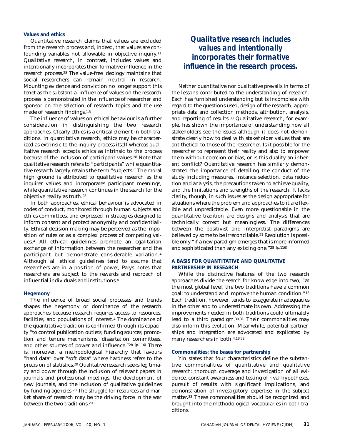### **Values and ethics**

Quantitative research claims that values are excluded from the research process and, indeed, that values are confounding variables not allowable in objective inquiry.11 Qualitative research, in contrast, includes values and intentionally incorporates their formative influence in the research process.28 The value-free ideology maintains that social researchers can remain neutral in research. Mounting evidence and conviction no longer support this tenet as the substantial influence of values on the research process is demonstrated in the influence of researcher and sponsor on the selection of research topics and the use made of research findings.1,5

The influence of values on ethical behaviour is a further consideration in distinguishing the two research approaches. Clearly ethics is a critical element in both traditions. In quantitative research, ethics may be characterized as extrinsic to the inquiry process itself whereas qualitative research accepts ethics as intrinsic to the process because of the inclusion of participant values.<sup>28</sup> Note that qualitative research refers to "participants" while quantitative research largely retains the term "subjects." The moral high ground is attributed to qualitative research as the inquirer values and incorporates participant meanings, while quantitative research continues in the search for the objective reality as truth.28

In both approaches, ethical behaviour is advocated in codes of conduct, monitored through human subjects and ethics committees, and expressed in strategies designed to inform consent and protect anonymity and confidentiality. Ethical decision making may be perceived as the imposition of rules or as a complex process of competing values.4 All ethical guidelines promote an egalitarian exchange of information between the researcher and the participant but demonstrate considerable variation.4 Although all ethical guidelines tend to assume that researchers are in a position of power, Palys notes that researchers are subject to the rewards and reproach of influential individuals and institutions.4

#### **Hegemony**

The influence of broad social processes and trends shapes the hegemony or dominance of the research approaches because research requires access to resources, facilities, and populations of interest.4 The dominance of the quantitative tradition is confirmed through its capacity "to control publication outlets, funding sources, promotion and tenure mechanisms, dissertation committees, and other sources of power and influence."28 (p.116) There is, moreover, a methodological hierarchy that favours "hard data" over "soft data" where hardness refers to the precision of statistics.20 Qualitative research seeks legitimacy and power through the inclusion of relevant papers in journals and professional meetings, the development of new journals, and the inclusion of qualitative guidelines by funding agencies.28 The struggle for resources and market share of research may be the driving force in the war between the two traditions.29

### *Qualitative research includes values and intentionally incorporates their formative influence in the research process.*

Neither quantitative nor qualitative prevails in terms of the lessons contributed to the understanding of research. Each has furnished understanding but is incomplete with regard to the questions used, design of the research, appropriate data and collection methods, attribution, analysis, and reporting of results.30 Qualitative research, for example, has shown the importance of understanding how all stakeholders see the issues although it does not demonstrate clearly how to deal with stakeholder values that are antithetical to those of the researcher. Is it possible for the researcher to represent their reality and also to empower them without coercion or bias, or is this duality an inherent conflict? Quantitative research has similarly demonstrated the importance of detailing the conduct of the study including measures, instance selection, data reduction and analysis, the precautions taken to achieve quality, and the limitations and strengths of the research. It lacks clarity, though, in such issues as the design appropriate for situations where the problem and approaches to it are flexible and unpredictable. Even more questionable in the quantitative tradition are designs and analysis that are technically correct but meaningless. The differences between the positivist and interpretist paradigms are believed by some to be irreconcilable.21 Resolution is possible only "if a new paradigm emerges that is more informed and sophisticated than any existing one."28 (p.116)

### **A BASIS FOR QUANTITATIVE AND QUALITATIVE PARTNERSHIP IN RESEARCH**

While the distinctive features of the two research approaches divide the search for knowledge into two, "at the most global level, the two traditions have a common goal: to understand and improve the human condition."18 Each tradition, however, tends to exaggerate inadequacies in the other and to underestimate its own. Addressing the improvements needed in both traditions could ultimately lead to a third paradigm.30,31 Their commonalities may also inform this evolution. Meanwhile, potential partnerships and integration are advocated and explicated by many researchers in both.4,18,32

### **Commonalities: the bases for partnership**

Yin states that four characteristics define the substantive commonalities of quantitative and qualitative research: thorough coverage and investigation of all evidence, constant awareness and testing of rival hypotheses, pursuit of results with significant implications, and demonstration of investigatory expertise in the subject matter.33 These commonalities should be recognized and brought into the methodological vocabularies in both traditions.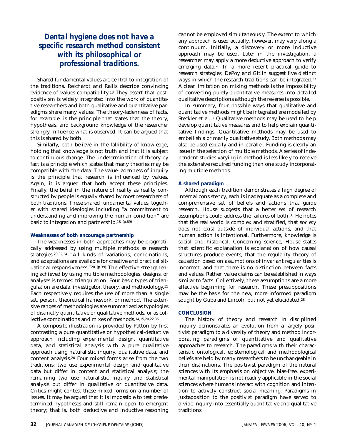### *Dental hygiene does not have a specific research method consistent with its philosophical or professional traditions.*

Shared fundamental values are central to integration of the traditions. Reichardt and Rallis describe convincing evidence of values compatibility.18 They assert that postpositivism is widely integrated into the work of quantitative researchers and both qualitative and quantitative paradigms share many values. The theory-ladenness of facts, for example, is the principle that states that the theory, hypothesis, and background knowledge of the researcher strongly influence what is observed. It can be argued that this is shared by both.

Similarly, both believe in the fallibility of knowledge, holding that knowledge is not truth and that it is subject to continuous change. The undetermination of theory by fact is a principle which states that many theories may be compatible with the data. The value-ladenness of inquiry is the principle that research is influenced by values. Again, it is argued that both accept these principles. Finally, the belief in the nature of reality as reality constructed by people is equally shared by most researchers of both traditions. These shared fundamental values, together with shared ideologies including "a commitment to understanding and improving the human condition" are basic to integration and partnership.18 (p.89)

### **Weaknesses of both encourage partnership**

The weaknesses in both approaches may be pragmatically addressed by using multiple methods as research strategies.20,32,34 "All kinds of variations, combinations, and adaptations are available for creative and practical situational responsiveness."<sup>20 (p.39)</sup> The effective strengthening achieved by using multiple methodologies, designs, or analyses is termed triangulation. Four basic types of triangulation are data, investigator, theory, and methodology.35 Each respectively requires the use of more than a single set, person, theoretical framework, or method. The extensive ranges of methodologies are summarized as typologies of distinctly quantitative or qualitative methods, or as collective combinations and mixes of methods.14,15,20,22,36

A composite illustration is provided by Patton by first contrasting a pure quantitative or hypothetical-deductive approach including experimental design, quantitative data, and statistical analysis with a pure qualitative approach using naturalistic inquiry, qualitative data, and content analysis.20 Four mixed forms arise from the two traditions: two use experimental design and qualitative data but differ in content and statistical analysis; the remaining two use naturalistic inquiry and statistical analysis but differ in qualitative or quantitative data. Critics might contest these mixed forms on a number of issues. It may be argued that it is impossible to test predetermined hypotheses and still remain open to emergent theory; that is, both deductive and inductive reasoning cannot be employed simultaneously. The extent to which any approach is used actually, however, may vary along a continuum. Initially, a discovery or more inductive approach may be used. Later in the investigation, a researcher may apply a more deductive approach to verify emerging data.20 In a more recent practical guide to research strategies, DePoy and Gitlin suggest five distinct ways in which the research traditions can be integrated.37 A clear limitation on mixing methods is the impossibility of converting purely quantitative measures into detailed qualitative descriptions although the reverse is possible.

In summary, four possible ways that qualitative and quantitative methods might be integrated are modelled by Steckler et al.32 Qualitative methods may be used to help develop quantitative measures and to help explain quantitative findings. Quantitative methods may be used to embellish a primarily qualitative study. Both methods may also be used equally and in parallel. Funding is clearly an issue in the selection of multiple methods. A series of independent studies varying in method is less likely to receive the extensive required funding than one study incorporating multiple methods.

### **A shared paradigm**

Although each tradition demonstrates a high degree of internal consistency, each is inadequate as a complete and comprehensive set of beliefs and actions that guide research. House suggests that a better set of research assumptions could address the failures of both.31 He notes that the real world is complex and stratified, that society does not exist outside of individual actions, and that human action is intentional. Furthermore, knowledge is social and historical. Concerning science, House states that scientific explanation is explanation of how causal structures produce events, that the regularity theory of causation based on assumptions of invariant regularities is incorrect, and that there is no distinction between facts and values. Rather, value claims can be established in ways similar to facts. Collectively, these assumptions are a more effective beginning for research. These presuppositions may be the basis for the new, more informed paradigm sought by Guba and Lincoln but not yet elucidated.28

### **CONCLUSION**

The history of theory and research in disciplined inquiry demonstrates an evolution from a largely positivist paradigm to a diversity of theory and method incorporating paradigms of quantitative and qualitative approaches to research. The paradigms with their characteristic ontological, epistemological and methodological beliefs are held by many researchers to be unchangeable in their distinctions. The positivist paradigm of the natural sciences with its emphasis on objective, bias-free, experimental manipulation is not readily applicable in the social sciences where humans interact with cognition and intention to actively construct social meaning. Paradigms in juxtaposition to the positivist paradigm have served to divide inquiry into essentially quantitative and qualitative traditions.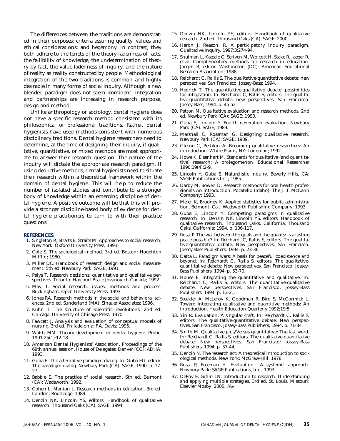The differences between the traditions are demonstrated in their purposes; criteria assuring quality, values and ethical considerations; and hegemony. In contrast, they both adhere to the tenets of the theory-ladenness of facts, the fallibility of knowledge, the undetermination of theory by fact, the value-ladenness of inquiry, and the nature of reality as reality constructed by people. Methodological integration of the two traditions is common and highly desirable in many forms of social inquiry. Although a new blended paradigm does not seem imminent, integration and partnerships are increasing in research purpose, design and method.

Unlike anthropology or sociology, dental hygiene does not have a specific research method consistent with its philosophical or professional traditions. Rather, dental hygienists have used methods consistent with numerous disciplinary traditions. Dental hygiene researchers need to determine, at the time of designing their inquiry, if qualitative, quantitative, or mixed methods are most appropriate to answer their research question. The nature of the inquiry will dictate the appropriate research paradigm. If using deductive methods, dental hygienists need to situate their research within a theoretical framework within the domain of dental hygiene. This will help to reduce the number of isolated studies and contribute to a stronger body of knowledge within an emerging discipline of dental hygiene. A positive outcome will be that this will provide a stronger discipline-based body of evidence for dental hygiene practitioners to turn to with their practice questions.

#### **REFERENCES**

- 1. Singleton R, Straits B, Straits M. Approaches to social research. New York: Oxford University Press; 1993.
- 2. Cole S. The sociological method. 3rd ed. Boston: Houghton Mifflin; 1980.
- 3. Miller DC. Handbook of research design and social measurement. 5th ed. Newbury Park: SAGE; 1991.
- 4. Palys T. Research decisions: quantitative and qualitative perspectives. Toronto: Harcourt Brace Jovanovich Canada; 1992.
- 5. May T. Social research: issues, methods and process. Buckingham: Open University Press; 1993.
- 6. Jones RA. Research methods in the social and behavioral sciences. 2nd ed. Sunderland (MA): Sinauer Associates; 1996.
- 7. Kuhn T. The structure of scientific revolutions. 2nd ed. Chicago: University of Chicago Press; 1970.
- 8. Fawcett J. Analysis and evaluation of conceptual models of nursing. 3rd ed. Philadelphia: F.A. Davis; 1995.
- 9. Walsh MM. Theory development in dental hygiene. Probe. 1991;25(1):12-18.
- 10. American Dental Hygienists' Association. Proceedings of the 69th annual session, House of Delegates. Denver (CO): ADHA; 1993.
- 11. Guba E. The alternative paradigm dialog. In: Guba EG, editor. The paradigm dialog. Newbury Park (CA): SAGE; 1990. p. 17- 27.
- 12. Babbie E. The practice of social research. 6th ed. Belmont (CA): Wadsworth; 1992.
- 13. Cohen L, Manion L. Research methods in education. 3rd ed. London: Routledge; 1989.
- 14. Denzin NK, Lincoln YS, editors. Handbook of qualitative research. Thousand Oaks (CA): SAGE; 1994.
- 15. Denzin NK, Lincoln YS, editors. Handbook of qualitative research. 2nd ed. Thousand Oaks (CA): SAGE; 2000.
- 16. Heron J, Reason, R. A participatory inquiry paradigm. Qualitative Inquiry. 1997;3:274-94.
- 17. Shulman L, Kaestle C, Scriven M, Wolcott H, Stake R, Jaeger R, et.al. Complementary methods for research in education. Jaeger, R, editor. Washington (DC): American Educational Research Association; 1988.
- 18. Reichardt C, Rallis S. The qualitative-quantitative debate: new perspectives. San Francisco: Jossey-Bass; 1994.
- 19. Hedrick T. The quantitative-qualitative debate: possibilities for integration. In: Reichardt C, Rallis S, editors. The qualitative-quantitative debate: new perspectives. San Francisco: Jossey-Bass; 1994. p. 45-52.
- 20. Patton M. Qualitative evaluation and research methods. 2nd ed. Newbury Park (CA): SAGE; 1990.
- 21. Guba E, Lincoln Y. Fourth generation evaluation. Newbury Park (CA): SAGE; 1989.
- 22. Marshall C, Rossman G. Designing qualitative research. Newbury Park (CA): SAGE; 1989.
- 23. Glesne C, Peshkin A. Becoming qualitative researchers: An introduction. White Plains, NY: Longman; 1992.
- 24. Howe K, Eisenhart M. Standards for qualitative (and quantitative) research: A prolegomenon. Educational Researcher 1990;19(4):2-9.
- 25. Lincoln Y, Guba E. Naturalistic inquiry. Beverly Hills, CA: SAGE Publications Inc.; 1985.
- 26. Darby M, Bowen D. Research methods for oral health professionals An introduction. Pocatello (Idaho): The J. T. McCann Company; 1993.
- 27. Meier K, Brudney K. Applied statistics for public administration. Belmont, Cal.: Wadsworth Publishing Company; 1993.
- 28. Guba E, Lincoln Y. Competing paradigms in qualitative research. In: Denzin NK, Lincoln YS, editors. Handbook of qualitative research. Thousand Oaks, California: Thousand Oaks, California; 1994. p. 106-117.
- 29. Rossi P. The war between the quals and the quants: Is a lasting peace possible? In: Reichardt C, Rallis S, editors. The qualitative-quantitative debate: New perspectives. San Francisco: Jossey-Bass Publishers; 1994. p. 23-36.
- 30. Datta L. Paradigm wars: A basis for peaceful coexistence and beyond. In: Reichardt C, Rallis S, editors. The qualitativequantitative debate: New perspectives. San Francisco: Jossey-Bass Publishers; 1994. p. 53-70.
- 31. House E. Integrating the quantitative and qualitative. In: Reichardt C, Rallis S, editors. The quantitative-qualitative debate: New perspectives. San Francisco: Jossey-Bass Publishers; 1994. p. 13-21.
- 32. Steckler A, McLeroy K, Goodman R, Bird S, McCormick L. Toward integrating qualitative and quantitive methods: An introduction. Health Education Quarterly 1992;19:5.
- 33. Yin R. Evaluation: A singular craft. In: Reichardt C, Rallis S, editors. The qualitative-quantitative debate: New perspectives. San Francisco: Jossey-Bass Publishers; 1994. p. 71-84.
- 34. Smith M. Qualitative plus/Versus quantitative: The last word. In: Reichardt C, Rallis S, editors. The qualitative-quantitative debate: New perspectives. San Francisco: Jossey-Bass Publishers; 1994. p. 37-44.
- 35. Denzin N. The research act: A theoretical introduction to sociological methods. New York: McGraw-Hill; 1978.
- 36. Rossi P, Freeman H. Evaluation A systemic approach. Newbury Park: SAGE Publications, Inc.; 1993.
- 37. DePoy E, Gitlin LN. Introduction to research: Understanding and applying multiple strategies. 3rd ed. St. Louis, Missouri: Elsevier Mosby; 2005.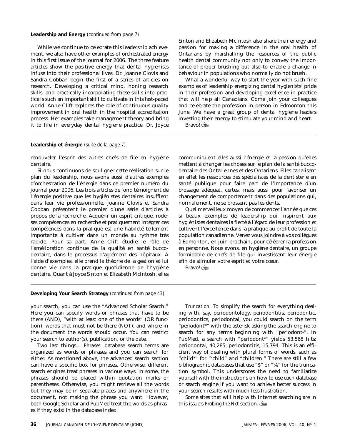#### **Leadership and Energy** *(continued from page 7)*

While we continue to celebrate this leadership achievement, we also have other examples of orchestrated energy in this first issue of the journal for 2006. The three feature articles show the positive energy that dental hygienists infuse into their professional lives. Dr. Joanne Clovis and Sandra Cobban begin the first of a series of articles on research. Developing a critical mind, honing research skills, and practically incorporating these skills into practice is such an important skill to cultivate in this fast-paced world. Anne Clift explores the role of continuous quality improvement in oral health in the hospital accreditation process. Her examples take management theory and bring it to life in everyday dental hygiene practice. Dr. Joyce Sinton and Elizabeth McIntosh also share their energy and passion for making a difference in the oral health of Ontarians by marshalling the resources of the public health dental community not only to convey the importance of proper brushing but also to enable a change in behaviour in populations who normally do not brush.

What a wonderful way to start the year with such fine examples of leadership energizing dental hygienists' pride in their profession and developing excellence in practice that will help all Canadians. Come join your colleagues and celebrate the profession in person in Edmonton this June. We have a great group of dental hygiene leaders investing their energy to stimulate your mind and heart.

Bravo!

#### **Leadership et énergie** *(suite de la page 7)*

renouveler l'esprit des autres chefs de file en hygiène dentaire.

Si nous continuons de souligner cette réalisation sur le plan du leadership, nous avons aussi d'autres exemples d'orchestration de l'énergie dans ce premier numéro du journal pour 2006. Les trois articles de fond témoignent de l'énergie positive que les hygiénistes dentaires insufflent dans leur vie professionnelle. Joanne Clovis et Sandra Cobban présentent le premier d'une série d'articles à propos de la recherche. Acquérir un esprit critique, roder ses compétences en recherche et pratiquement intégrer ces compétences dans la pratique est une habileté tellement importante à cultiver dans un monde au rythme très rapide. Pour sa part, Anne Clift étudie le rôle de l'amélioration continue de la qualité en santé buccodentaire, dans le processus d'agrément des hôpitaux. À l'aide d'exemples, elle prend la théorie de la gestion et lui donne vie dans la pratique quotidienne de l'hygiène dentaire. Quant à Joyce Sinton et Elizabeth McIntosh, elles

communiquent elles aussi l'énergie et la passion qu'elles mettent à changer les choses sur le plan de la santé buccodentaire des Ontariennes et des Ontariens. Elles canalisent en effet les ressources des spécialistes de la dentisterie en santé publique pour faire part de l'importance d'un brossage adéquat, certes, mais aussi pour favoriser un changement de comportement dans des populations qui, normalement, ne se brossent pas les dents.

Quel merveilleux moyen de commencer l'année que ces si beaux exemples de leadership qui inspirent aux hygiénistes dentaires la fierté à l'égard de leur profession et cultivent l'excellence dans la pratique au profit de toute la population canadienne. Venez vous joindre à vos collègues à Edmonton, en juin prochain, pour célébrer la profession en personne. Nous avons, en hygiène dentaire, un groupe formidable de chefs de file qui investissent leur énergie afin de stimuler votre esprit et votre cœur.

Bravo!

#### **Developing Your Search Strategy** *(continued from page 43)*

your search, you can use the "Advanced Scholar Search." Here you can specify words or phrases that have to be there (AND), "with at least one of the words" (OR function), words that must not be there (NOT), and where in the document the words should occur. You can restrict your search to author(s), publication, or the date.

Two last things… *Phrases:* database search terms are organized as words or phrases and you can search for either. As mentioned above, the advanced search section can have a specific box for phrases. Otherwise, different search engines treat phrases in various ways. In some, the phrases should be placed within quotation marks or parentheses. Otherwise, you might retrieve all the words but they may be in separate places and anywhere in the document, not making the phrase you want. However, both Google Scholar and PubMed treat the words as phrases if they exist in the database index.

*Truncation:* To simplify the search for everything dealing with, say, periodontology, periodontitis, periodontic, periodontics, periodontal, you could search on the term "periodont\*" with the asterisk asking the search engine to search for any terms beginning with "periodont-". In PubMed, a search with "periodont\*" yields 53,568 hits; periodontal, 40,285; periodontitis, 15,794. This is an efficient way of dealing with plural forms of words, such as "child\*" for "'child" and "children." There are still a few bibliographic databases that use "\$" or "%" for the truncation symbol. This underscores the need to familiarize yourself with the instructions on how to use each database or search engine if you want to achieve better success in your search results with much less frustration.

Some sites that will help with Internet searching are in this issue's *Probing the Net* section.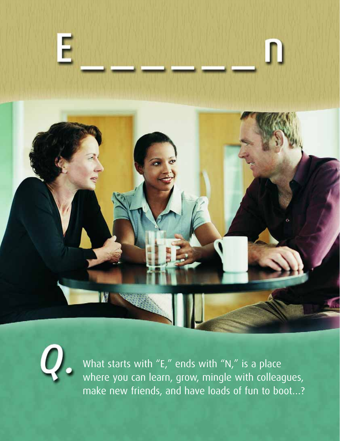



What starts with "E," ends with "N," is a place where you can learn, grow, mingle with colleagues, make new friends, and have loads of fun to boot…?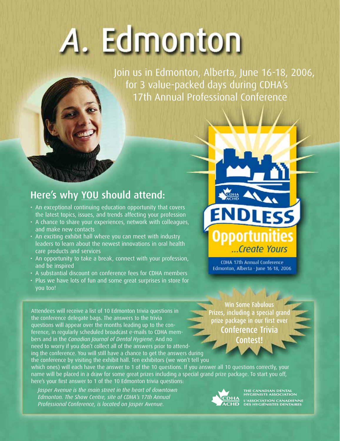# A. Edmonton

Join us in Edmonton, Alberta, June 16-18, 2006, for 3 value-packed days during CDHA's 17th Annual Professional Conference

### Here's why YOU should attend:

- An exceptional continuing education opportunity that covers the latest topics, issues, and trends affecting your profession
- A chance to share your experiences, network with colleagues, and make new contacts
- An exciting exhibit hall where you can meet with industry leaders to learn about the newest innovations in oral health care products and services
- An opportunity to take a break, connect with your profession, and be inspired
- A substantial discount on conference fees for CDHA members
- Plus we have lots of fun and some great surprises in store for you too!

ESS ...Create Yours

CDHA 17th Annual Conference Edmonton, Alberta - June 16 18, 2006

Attendees will receive a list of 10 Edmonton trivia questions in the conference delegate bags. The answers to the trivia questions will appear over the months leading up to the conference, in regularly scheduled broadcast e-mails to CDHA members and in the *Canadian Journal of Dental Hygiene*. And no need to worry if you don't collect all of the answers prior to attending the conference. You will still have a chance to get the answers during the conference by visiting the exhibit hall. Ten exhibitors (we won't tell you

which ones) will each have the answer to 1 of the 10 questions. If you answer all 10 questions correctly, your name will be placed in a draw for some great prizes including a special grand prize package. To start you off, here's your first answer to 1 of the 10 Edmonton trivia questions:

*Jasper Avenue is the main street in the heart of downtown Edmonton. The Shaw Centre, site of CDHA's 17th Annual Professional Conference, is located on Jasper Avenue.*

Win Some Fabulous Prizes, including a special grand prize package in our first ever Conference Trivia Contest!



THE CANADIAN DENTA<mark>L</mark><br>HYGIENISTS ASSOCIATIO .<br>OCIATION CANADIENNE<br>IYGIÉNISTES DENTAIRES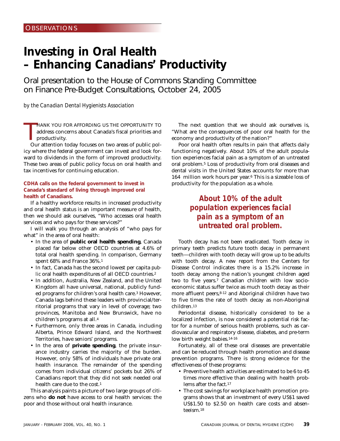### **Investing in Oral Health – Enhancing Canadians' Productivity**

Oral presentation to the House of Commons Standing Committee on Finance Pre-Budget Consultations, October 24, 2005

*by the Canadian Dental Hygienists Association*

 $\prod_{\alpha}$ HANK YOU FOR AFFORDING US THE OPPORTUNITY TO address concerns about Canada's fiscal priorities and productivity.

Our attention today focuses on two areas of public policy where the federal government can invest and look forward to dividends in the form of improved productivity. These two areas of public policy focus on oral health and tax incentives for continuing education.

### **CDHA calls on the federal government to invest in Canada's standard of living through improved oral health of Canadians.**

If a healthy workforce results in increased productivity and oral health status is an important measure of health, then we should ask ourselves, "Who accesses oral health services and who pays for these services?"

I will walk you through an analysis of "who pays for what" in the area of oral health:

- In the area of **public oral health spending**, Canada placed far below other OECD countries at 4.6% of total oral health spending. In comparison, Germany spent 68% and France 36%.1
- In fact, Canada has the second lowest per capita *public* oral health expenditures of all OECD countries.2
- In addition, Australia, New Zealand, and the United Kingdom all have universal, national, publicly funded programs for children's oral health care.3 However, Canada lags behind these leaders with provincial/territorial programs that vary in level of coverage; two provinces, Manitoba and New Brunswick, have no children's programs at all.4
- Furthermore, only three areas in Canada, including Alberta, Prince Edward Island, and the Northwest Territories, have seniors' programs.
- In the area of **private spending**, the private insurance industry carries the majority of the burden. However, only 58% of individuals have private oral health insurance. The remainder of the spending comes from individual citizens' pockets but 26% of Canadians report that they did not seek needed oral health care due to the cost.1

This analysis paints a picture of two large groups of citizens who **do not** have access to oral health services: the poor and those without oral health insurance.

The next question that we should ask ourselves is, "What are the consequences of poor oral health for the economy and productivity of the nation?"

Poor oral health often results in pain that affects daily functioning negatively. About 10% of the adult population experiences facial pain as a symptom of an untreated oral problem.5 Loss of productivity from oral diseases and dental visits in the United States accounts for more than 164 million work hours per year.6 This is a sizeable loss of productivity for the population as a whole.

### *About 10% of the adult population experiences facial pain as a symptom of an untreated oral problem.*

Tooth decay has not been eradicated. Tooth decay in primary teeth predicts future tooth decay in permanent teeth—children with tooth decay will grow up to be adults with tooth decay. A new report from the Centers for Disease Control indicates there is a 15.2% increase in tooth decay among the nation's youngest children aged two to five years.7 Canadian children with low socioeconomic status suffer twice as much tooth decay as their more affluent peers,<sup>8-12</sup> and Aboriginal children have two to five times the rate of tooth decay as non-Aboriginal children.13

Periodontal disease, historically considered to be a localized infection, is now considered a potential risk factor for a number of serious health problems, such as cardiovascular and respiratory disease, diabetes, and pre-term low birth weight babies.<sup>14-16</sup>

Fortunately, all of these oral diseases are preventable and can be reduced through health promotion and disease prevention programs. There is strong evidence for the effectiveness of these programs:

- Preventive health activities are estimated to be 6 to 45 times more effective than dealing with health problems after the fact.17
- The cost savings for workplace health promotion programs shows that an investment of every US\$1 saved US\$1.50 to \$2.50 on health care costs and absenteeism.18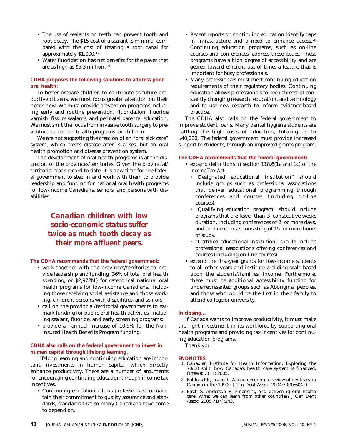- The use of sealants on teeth can prevent tooth and root decay. The \$15 cost of a sealant is minimal compared with the cost of treating a root canal for approximately \$1,000.19
- Water fluoridation has net benefits for the payer that are as high as \$5.3 million.19

### **CDHA proposes the following solutions to address poor oral health:**

To better prepare children to contribute as future productive citizens, we must focus greater attention on their needs now. We must provide prevention programs including early and routine prevention, fluoridation, fluoride varnish, fissure sealants, and perinatal parental education. We must shift the focus from invasive tooth surgery to preventive public oral health programs for children.

We are not suggesting the creation of an "oral sick care" system, which treats disease after is arises, but an oral health promotion and disease prevention system.

The development of oral health programs is at the discretion of the provinces/territories. Given the provincial/ territorial track record to date, it is now time for the federal government to step in and work with them to provide leadership and funding for national oral health programs for low-income Canadians, seniors, and persons with disabilities.

> *Canadian children with low socio-economic status suffer twice as much tooth decay as their more affluent peers.*

### **The CDHA recommends that the federal government:**

- work together with the provinces/territories to provide leadership and funding (36% of total oral health spending, or \$2,972M) for categorical national oral health programs for low-income Canadians, including those receiving social assistance and those working, children, persons with disabilities, and seniors;
- call on the provincial/territorial governments to earmark funding for public oral health activities, including sealant, fluoride, and early screening programs;
- provide an annual increase of 10.9% for the Non-Insured Health Benefits Program funding.

### **CDHA also calls on the federal government to invest in human capital through lifelong learning.**

Lifelong learning and continuing education are important investments in human capital, which directly enhance productivity. There are a number of arguments for encouraging continuing education through income tax incentives.

• Continuing education allows professionals to maintain their commitment to quality assurance and standards, standards that so many Canadians have come to depend on.

- Recent reports on continuing education identify gaps in infrastructure and a need to enhance access.20 Continuing education programs, such as on-line courses and conferences, address these issues. These programs have a high degree of accessibility and are geared toward efficient use of time, a feature that is important for busy professionals.
- Many professionals must meet continuing education requirements of their regulatory bodies. Continuing education allows professionals to keep abreast of constantly changing research, education, and technology and to use new research to inform evidence-based practice.

The CDHA also calls on the federal government to improve student loans. Many dental hygiene students are battling the high costs of education, totaling up to \$40,000. The federal government must provide increased support to students, through an improved grants program.

### **The CDHA recommends that the federal government:**

- expand definitions in section 118.6(1a and 1c) of the *Income Tax Act*:
	- "Designated educational institution" should include groups such as professional associations that deliver educational programming through conferences and courses (including on-line courses).
	- "Qualifying education program" should include programs that are fewer than 3 consecutive weeks duration, including conferences of 2 or more days, and on-line courses consisting of 15 or more hours of study.
	- "Certified educational institution" should include professional associations offering conferences and courses (including on-line courses).
- extend the first-year grants for low-income students to all other years and institute a sliding scale based upon the students'/families' income. Furthermore, there must be additional accessibility funding for underrepresented groups such as Aboriginal peoples, and those who would be the first in their family to attend college or university.

### **In closing…**

If Canada wants to improve productivity, it must make the right investment in its workforce by supporting oral health programs and providing tax incentives for continuing education programs.

Thank you.

### **ENDNOTES**

- 1. Canadian Institute for Health Information. Exploring the 70/30 split: how Canada's health care system is financed. Ottawa: CIHI; 2005.
- 2. Baldota KK, Leake JL. A macroeconomic review of dentistry in Canada in the 1990s. J Can Dent Assoc. 2004;70(9):604-9.
- 3. Birch S, Anderson R. Financing and delivering oral health care: What we can learn from other countries? J Can Dent Assoc. 2005;71(4):243.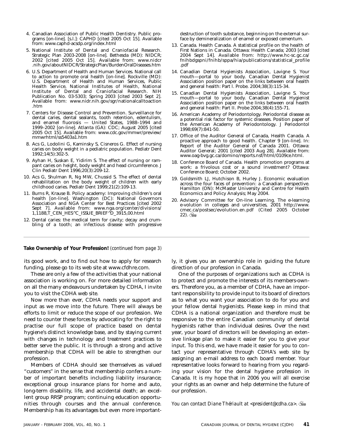- 4. Canadian Association of Public Health Dentistry. Public programs [on-line]. [s.l.]: CAPHD [cited 2005 Oct 15]. Available from: www.caphd-acsdp.org/index.html
- 5. National Institute of Dental and Craniofacial Research. Strategic Plan 2003-2008 [on-line]. Bethesda (MD): NIDCR; 2002 [cited 2005 Oct 15]. Available from: www.nidcr .nih.gov/aboutNIDCR/StrategicPlan/BurdenOralDiseases.htm
- 6. U.S. Department of Health and Human Services. National call to action to promote oral health [on-line]. Rockville (MD): U.S. Department of Health and Human Services, Public Health Service, National Institutes of Health, National Institute of Dental and Craniofacial Research. NIH Publication No. 03-5303; Spring 2003 [cited 2003 Sept 2]. Available from: www.nidr.nih.gov/sgr/nationalcalltoaction .htm
- 7. Centers for Disease Control and Prevention. Surveillance for dental caries, dental sealants, tooth retention, edentulism, and enamel fluorosis — United States, 1988–1994 and 1999–2002 [on-line]. Atlanta (GA): CDC; August 2005 [cited 2005 Oct 15]. Available from: www.cdc.gov/mmwr/preview/ mmwrhtml/ss5403a1.htm
- 8. Acs G, Lodolini G, Kaminsky S, Cisneros G. Effect of nursing caries on body weight in a pediatric population. Pediatr Dent 1992;14(5):302-5.
- 9. Ayhan H, Suskan E, Yidirim S. The effect of nursing or rampant caries on height, body weight and head circumference. J Clin Pediatr Dent 1996;20(3):209-12.
- 10. Acs G, Shulman R, Ng MW, Chussid S. The effect of dental rehabilitation on the body weight of children with early childhood caries. Pediatr Dent  $1999;21(2):109-13$ .
- 11. Burns R, Krause B. Policy academy: Improving children's oral health [on-line]. Washington (DC): National Governors Association and NGA Center for Best Practices [cited 2002 Sept 7]. Available from: www.nga.org/center/divisions/ 1,1188,T\_CEN\_HES^C\_ISSUE\_BRIEF^D\_3915,00.html
- 12. Dental caries: the medical term for cavity; decay and crumbling of a tooth; an infectious disease with progressive

destruction of tooth substance, beginning on the external surface by demineralization of enamel or exposed cementum.

- 13. Canada. Health Canada. A statistical profile on the health of First Nations in Canada. Ottawa: Health Canada; 2003 [cited 2004 Sept 14]. Available from: http://www.hc-sc.gc.ca/ fnihbdgspni/fnihb/sppa/hia/publications/statistical\_profile .pdf
- 14. Canadian Dental Hygienists Association, Lavigne S. Your mouth—portal to your body. Canadian Dental Hygienist Association position paper on the links between oral health and general health: Part l. Probe. 2004;38(3):115-34.
- 15. Canadian Dental Hygienists Association, Lavigne S. Your mouth—portal to your body. Canadian Dental Hygienist Association position paper on the links between oral health and general health: Part II. Probe 2004;38(4):155-71.
- 16. American Academy of Periodontology. Periodontal disease as a potential risk factor for systemic diseases. Position paper of the American Academy of Periodontology. J Periodontol 1998;69(7):841-50.
- 17. Office of the Auditor General of Canada, Health Canada. A proactive approach to good health. Chapter 9 [on-line]. In: Report of the Auditor General of Canada 2001. Ottawa: Auditor General; 2001 [cited 2003 Aug 28]. Available from: www.oag-bvg.gc.ca/domino/reports.nsf/html/0109ce.html.
- 18. Conference Board of Canada. Health promotion programs at work: a frivolous cost or a sound investment? Ottawa: Conference Board; October 2002.
- 19. Goldsmith LJ, Hutchison B, Hurley J. Economic evaluation across the four faces of prevention: a Canadian perspective. Hamilton (ON): McMaster University and Centre for Health Economics and Policy Analysis; May 2004.
- 20. Advisory Committee for On-line Learning. The e-learning e-volution in colleges and universities, 2001 http://www. cmec.ca/postsec/evolution.en.pdf (Cited 2005 October  $22)$ .  $\frac{12}{200}$

**Take Ownership of Your Profession!** *(continued from page 3)*

its good work, and to find out how to apply for research funding, please go to its web site at www.cfdhre.com.

These are only a few of the activities that your national association is working on. For more detailed information on all the many endeavours undertaken by CDHA, I invite you to visit the CDHA web site.

Now more than ever, CDHA needs your support and input as we move into the future. There will always be efforts to limit or reduce the scope of our profession. We need to counter these forces by advocating for the right to practise our full scope of practice based on dental hygiene's distinct knowledge base, and by staying current with changes in technology and treatment practices to better serve the public. It is through a strong and active membership that CDHA will be able to strengthen our profession.

Members of CDHA should see themselves as valued "customers" in the sense that membership confers a number of important benefits including liability insurance; exceptional group insurance plans for home and auto, long-term disability, life, and accidental death; an excellent group RRSP program; continuing education opportunities through courses and the annual conference. Membership has its advantages but even more importantly, it gives you an ownership role in guiding the future direction of our profession in Canada.

One of the purposes of organizations such as CDHA is to protect and promote the interests of its members-owners. Therefore you, as a member of CDHA, have an important responsibility to provide input to its board of directors as to what you want your association to do for you and your fellow dental hygienists. Please keep in mind that CDHA is a national organization and therefore must be responsive to the entire Canadian community of dental hygienists rather than individual desires. Over the next year, your board of directors will be developing an extensive linkage plan to make it easier for you to give your input. To this end, we have made it easier for you to contact your representative through CDHA's web site by assigning an e-mail address to each board member. Your representative looks forward to hearing from you regarding your vision for the dental hygiene profession in Canada. It is my hope that in 2006 you will all exercise your rights as an owner and help determine the future of our profession.

*You can contact Diane Thériault at <president@cdha.ca>.*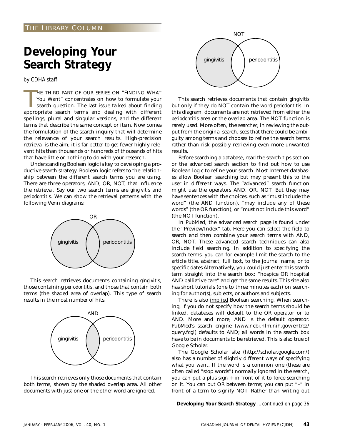### **Developing Your Search Strategy**

*by CDHA staff*

HE THIRD PART OF OUR SERIES ON "FINDING WHAT You Want" concentrates on how to formulate your search question. The last issue talked about finding appropriate search terms and dealing with different HE THIRD PART OF OUR SERIES ON "FINDING WHAT You Want" concentrates on how to formulate your search question. The last issue talked about finding spellings, plural and singular versions, and the different terms that describe the same concept or item. Now comes the formulation of the search inquiry that will determine the relevance of your search results. High-precision retrieval is the aim; it is far better to get fewer highly relevant hits than thousands or hundreds of thousands of hits that have little or nothing to do with your research.

Understanding Boolean logic is key to developing a productive search strategy. Boolean logic refers to the relationship between the different search terms you are using. There are three operators, AND, OR, NOT, that influence the retrieval. Say our two search terms are *gingivitis* and *periodontitis*. We can show the retrieval patterns with the following Venn diagrams:



This search retrieves documents containing *gingivitis*, those containing *periodontitis*, and those that contain both terms (the shaded area of overlap). This type of search results in the most number of hits.



This search retrieves only those documents that contain both terms, shown by the shaded overlap area. All other documents with just one or the other word are ignored.



This search retrieves documents that contain *gingivitis* but only if they do NOT contain the word *periodontitis*. In this diagram, documents are not retrieved from either the *periodontitis* area or the overlap area. The NOT function is rarely used. More often, the searcher, in reviewing the output from the original search, sees that there could be ambiguity among terms and chooses to refine the search terms rather than risk possibly retrieving even more unwanted results.

Before searching a database, read the search tips section or the advanced search section to find out how to use Boolean logic to refine your search. Most Internet databases allow Boolean searching but may present this to the user in different ways. The "advanced" search function might use the operators AND, OR, NOT. But they may have sentences with the choices, such as "must include the word" (the AND function), "may include any of these words" (the OR function), or "must not include this word" (the NOT function).

In PubMed, the advanced search page is found under the "Preview/Index" tab. Here you can select the field to search and then combine your search terms with AND, OR, NOT. These advanced search techniques can also include field searching. In addition to specifying the search terms, you can for example limit the search to the article title, abstract, full text, to the journal name, or to specific dates Alternatively, you could just enter this search term straight into the search box: "hospice OR hospital AND palliative care" and get the same results. This site also has short tutorials (one to three minutes each) on searching for author(s), subjects, or authors and subjects.

There is also implied Boolean searching. When searching, if you do not specify how the search terms should be linked, databases will default to the OR operator or to AND. More and more, AND is the default operator. PubMed's search engine (www.ncbi.nlm.nih.gov/entrez/ query.fcgi) defaults to AND; all words in the search box have to be in documents to be retrieved. This is also true of Google Scholar.

The Google Scholar site (http://scholar.google.com/) also has a number of slightly different ways of specifying what you want. If the word is a common one (these are often called "stop words") normally ignored in the search, you can put a plus sign + in front of it to force searching on it. You can put OR between terms; you can put "–" in front of a term to signify NOT. Rather than writing out

**Developing Your Search Strategy** *…continued on page 36*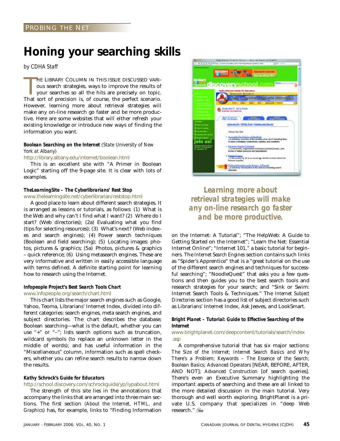### **Honing your searching skills**

*by CDHA Staff*

HE LIBRARY COLUMN IN THIS ISSUE DISCUSSED VARI-<br>ous search strategies, ways to improve the results of<br>your searches so all the hits are precisely on topic.<br>That sort of precision is, of course, the perfect scenario. HE LIBRARY COLUMN IN THIS ISSUE DISCUSSED VARIous search strategies, ways to improve the results of your searches so all the hits are precisely on topic. However, learning more about retrieval strategies will make any on-line research go faster and be more productive. Here are some websites that will either refresh your existing knowledge or introduce new ways of finding the information you want.

### *Boolean Searching on the Internet (State University of New York at Albany)*

http://library.albany.edu/internet/boolean.html

This is an excellent site with "A Primer in Boolean Logic" starting off the 9-page site. It is clear with lots of examples.

### *TheLearningSite – The Cyberlibrarians' Rest Stop*

www.thelearningsite.net/cyberlibrarian/reststop.html

A good place to learn about different search strategies. It is arranged as lessons or tutorials, as follows: (1) What is the Web and why can't I find what I want? (2) Where do I start? (Web directories); (2a) Evaluating what you find (tips for selecting resources); (3) What's next? (Web indexes and search engines); (4) Power search techniques (Boolean and field searching); (5) Locating images: photos, pictures & graphics; (5a) Photos, pictures & graphics – quick reference; (6) Using metasearch engines. These are very informative and written in easily accessible language with terms defined. A definite starting point for learning how to research using the Internet.

### *Infopeople Project's Best Search Tools Chart*

www.infopeople.org/search/chart.html

This chart lists the major search engines such as Google, Yahoo, Teoma, Librarians' Internet Index, divided into different categories: search engines, meta search engines, and subject directories. The chart describes the database; Boolean searching—what is the default, whether you can use "+" or "–"; lists search options such as truncation, wildcard symbols (to replace an unknown letter in the middle of words); and has useful information in the "Miscellaneous" column, information such as spell checkers, whether you can refine search results to narrow down the results.

### *Kathy Schrock's Guide for Educators*

http://school.discovery.com/schrockguide/yp/iypabout.html

The strength of this site lies in the annotations that accompany the links that are arranged into three main sections. The first section *(About the Internet, HTML, and Graphics)* has, for example, links to "Finding Information



### *Learning more about retrieval strategies will make any on-line research go faster and be more productive.*

on the Internet: A Tutorial"; "The HelpWeb: A Guide to Getting Started on the Internet"; "Learn the Net: Essential Internet Online"; "Internet 101," a basic tutorial for beginners. The *Internet Search Engines* section contains such links as "Spider's Apprentice" that is a "great tutorial on the use of the different search engines and techniques for successful searching"; "NoodleQuest" that asks you a few questions and then guides you to the best search tools and research strategies for your search; and "Sink or Swim: Internet Search Tools & Techniques." The *Internet Subject Directories* section has a good list of subject directories such as Librarians' Internet Index, Ask Jeeves, and LookSmart.

### *Bright Planet – Tutorial: Guide to Effective Searching of the Internet*

www.brightplanet.com/deepcontent/tutorials/search/index .asp

A comprehensive tutorial that has six major sections: *The Size of the Internet; Internet Search Basics and Why There's a Problem; Keywords – The Essence of the Search; Boolean Basics; Advanced Operators* [NEAR, BEFORE, AFTER, AND NOT]; *Advanced Construction* [of search queries]. There's even an Executive Summary highlighting the important aspects of searching and these are all linked to the more detailed discussion in the main tutorial. Very thorough and well worth exploring. BrightPlanet is a private U.S. company that specializes in "deep Web research."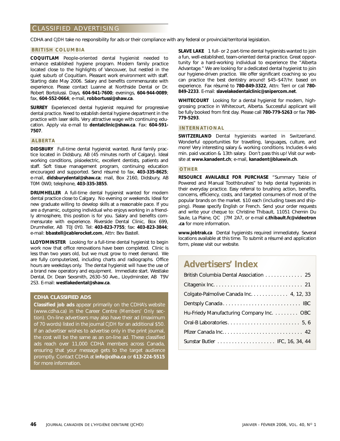### CLASSIFIED ADVERTISING

CDHA and *CJDH* take no responsibility for ads or their compliance with any federal or provincial/territorial legislation.

#### **BRITISH COLUMBIA**

**COQUITLAM** People-oriented dental hygienist needed to enhance established hygiene program. Modern family practice located close to the highlights of Vancouver, but nestled in the quiet suburb of Coquitlam. Pleasant work environment with staff. Starting date May 2006. Salary and benefits commensurate with experience. Please contact Luanne at Northside Dental or Dr. Robert Bortolussi. Days, **604-941-7600**; evenings, **604-944-0089**; fax, **604-552-0664**; e-mail, **robbortussi@shaw.ca**.

**SURREY** Experienced dental hygienist required for progressive dental practice. Need to establish dental hygiene department in the practice with laser skills. Very attractive wage with continuing education. Apply via e-mail to **dentalclinic@shaw.ca**. Fax: **604-591- 7507**.

#### **ALBERTA**

**DIDSBURY** Full-time dental hygienist wanted. Rural family practice located in Didsbury, AB (45 minutes north of Calgary). Ideal working conditions, pisioelectric, excellent dentists, patients and staff. Soft tissue management program, continuing education encouraged and supported. Send résumé to fax, **403-335-8625**; e-mail, **didsburydental@shaw.ca**; mail, Box 2160, Didsbury, AB T0M 0W0; telephone, **403-335-3855**.

**DRUMHELLER** A full-time dental hygienist wanted for modern dental practice close to Calgary. No evening or weekends. Ideal for new graduate willing to develop skills at a reasonable pace. If you are a dynamic, outgoing individual who enjoys working in a friendly atmosphere, this position is for you. Salary and benefits commensurate with experience. Riverside Dental Clinic, Box 699, Drumheller, AB T0J 0Y0. Tel: **403-823-7755**; fax: **403-823-3844**; e-mail: **bbastell@cablerocket.com**, Attn: Bev Bastell.

**LLOYDMINSTER** Looking for a full-time dental hygienist to begin work now that office renovations have been completed. Clinic is less than two years old, but we must grow to meet demand. We are fully computerized, including charts and radiographs. Office hours are weekdays only. The dental hygienist will have the use of a brand new operatory and equipment. Immediate start. Westlake Dental, Dr. Dean Sexsmith, 2630–50 Ave., Lloydminster, AB T9V 2S3. E-mail: **westlakedental@shaw.ca**.

### **CDHA CLASSIFIED ADS**

**Classified job ads** appear primarily on the CDHA's website (www.cdha.ca) in the Career Centre (*Members' Only* section). On-line advertisers may also have their ad (maximum of 70 words) listed in the journal *CJDH* for an additional \$50. If an advertiser wishes to advertise only in the print journal, the cost will be the same as an on-line ad. These classified ads reach over 11,000 CDHA members across Canada, ensuring that your message gets to the target audience promptly. Contact CDHA at **info@cdha.ca** or **613-224-5515** for more information.

**SLAVE LAKE** 1 full- or 2 part-time dental hygienists wanted to join a fun, well-established, team-oriented dental practice. Great opportunity for a hard-working individual to experience the "Alberta Advantage." We are looking for a dedicated dental hygienist to join our hygiene-driven practice. We offer significant coaching so you can practice the best dentistry around! \$45–\$47/hr. based on experience. Fax résumé to **780-849-3322**, Attn: Terri or call **780- 849-2233**. E-mail: **slavelakedentalclinic@snipercom.net**.

**WHITECOURT** Looking for a dental hygienist for modern, highgrossing practice in Whitecourt, Alberta. Successful applicant will be fully booked from first day. Please call **780-779-5263** or fax **780- 779-5293**.

### **INTERNATIONAL**

**SWITZERLAND** Dental hygienists wanted in Switzerland. Wonderful opportunities for travelling, languages, culture, and more! Very interesting salary & working conditions. Includes 4-wks min. paid vacation & 13th salary. Don't pass this up! Visit our website at **www.kanadent.ch**; e-mail, **kanadent@bluewin.ch**.

#### **OTHER**

**RESOURCE AVAILABLE FOR PURCHASE** "Summary Table of Powered and Manual Toothbrushes" to help dental hygienists in their everyday practice. Easy referral to brushing action, benefits, concerns, efficiency, costs, and targeted consumers of most of the popular brands on the market. \$10 each (including taxes and shipping). Please specify English or French. Send your order requests and write your cheque to: Christine Thibault, 11051 Chemin Du Saule, La Plaine, QC J7M 2A7, or e-mail **c.thibault.fc@videotron .ca** for more information.

**www.jobtrak.ca** Dental hygienists required immediately. Several locations available at this time. To submit a résumé and application form, please visit our website.

### **Advertisers' Index**

| British Columbia Dental Association 25   |
|------------------------------------------|
|                                          |
| Colgate-Palmolive Canada Inc. 4, 12, 33  |
|                                          |
| Hu-Friedy Manufacturing Company Inc. OBC |
|                                          |
|                                          |
|                                          |